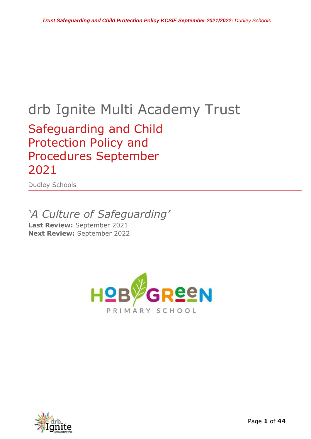# drb Ignite Multi Academy Trust

Safeguarding and Child Protection Policy and Procedures September 2021

Dudley Schools

# *'A Culture of Safeguarding'*

**Last Review:** September 2021 **Next Review:** September 2022



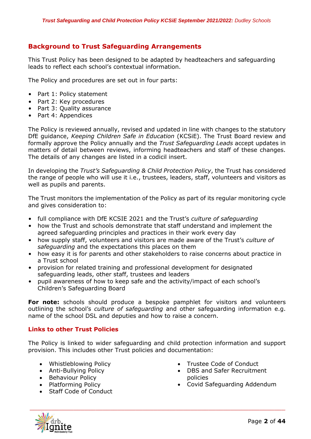#### **Background to Trust Safeguarding Arrangements**

This Trust Policy has been designed to be adapted by headteachers and safeguarding leads to reflect each school's contextual information.

The Policy and procedures are set out in four parts:

- Part 1: Policy statement
- Part 2: Key procedures
- Part 3: Quality assurance
- Part 4: Appendices

The Policy is reviewed annually, revised and updated in line with changes to the statutory DfE guidance, *Keeping Children Safe in Education* (KCSiE). The Trust Board review and formally approve the Policy annually and the *Trust Safeguarding Leads* accept updates in matters of detail between reviews, informing headteachers and staff of these changes. The details of any changes are listed in a codicil insert.

In developing the *Trust's Safeguarding & Child Protection Policy*, the Trust has considered the range of people who will use it i.e., trustees, leaders, staff, volunteers and visitors as well as pupils and parents.

The Trust monitors the implementation of the Policy as part of its regular monitoring cycle and gives consideration to:

- full compliance with DfE KCSIE 2021 and the Trust's *culture of safeguarding*
- how the Trust and schools demonstrate that staff understand and implement the agreed safeguarding principles and practices in their work every day
- how supply staff, volunteers and visitors are made aware of the Trust's *culture of safeguarding* and the expectations this places on them
- how easy it is for parents and other stakeholders to raise concerns about practice in a Trust school
- provision for related training and professional development for designated safeguarding leads, other staff, trustees and leaders
- pupil awareness of how to keep safe and the activity/impact of each school's Children's Safeguarding Board

**For note:** schools should produce a bespoke pamphlet for visitors and volunteers outlining the school's *culture of safeguarding* and other safeguarding information e.g. name of the school DSL and deputies and how to raise a concern.

#### **Links to other Trust Policies**

The Policy is linked to wider safeguarding and child protection information and support provision. This includes other Trust policies and documentation:

- Whistleblowing Policy
- Anti-Bullying Policy
- Behaviour Policy
- Platforming Policy
- Staff Code of Conduct
- Trustee Code of Conduct
- DBS and Safer Recruitment policies
- Covid Safeguarding Addendum

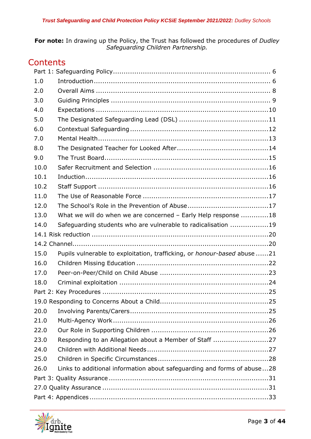**For note:** In drawing up the Policy, the Trust has followed the procedures of *[Dudley](https://safeguarding.dudley.gov.uk/safeguarding/child/)  [Safeguarding Children Partnership.](https://safeguarding.dudley.gov.uk/safeguarding/child/)*

# **Contents**

| 1.0  |                                                                          |
|------|--------------------------------------------------------------------------|
| 2.0  |                                                                          |
| 3.0  |                                                                          |
| 4.0  |                                                                          |
| 5.0  |                                                                          |
| 6.0  |                                                                          |
| 7.0  |                                                                          |
| 8.0  |                                                                          |
| 9.0  |                                                                          |
| 10.0 |                                                                          |
| 10.1 |                                                                          |
| 10.2 |                                                                          |
| 11.0 |                                                                          |
| 12.0 |                                                                          |
| 13.0 | What we will do when we are concerned - Early Help response  18          |
| 14.0 | Safeguarding students who are vulnerable to radicalisation 19            |
|      |                                                                          |
|      |                                                                          |
| 15.0 | Pupils vulnerable to exploitation, trafficking, or honour-based abuse 21 |
| 16.0 |                                                                          |
| 17.0 |                                                                          |
| 18.0 |                                                                          |
|      |                                                                          |
|      |                                                                          |
| 20.0 |                                                                          |
| 21.0 |                                                                          |
| 22.0 |                                                                          |
| 23.0 | Responding to an Allegation about a Member of Staff 27                   |
| 24.0 |                                                                          |
| 25.0 |                                                                          |
| 26.0 | Links to additional information about safeguarding and forms of abuse28  |
|      |                                                                          |
|      |                                                                          |
|      |                                                                          |

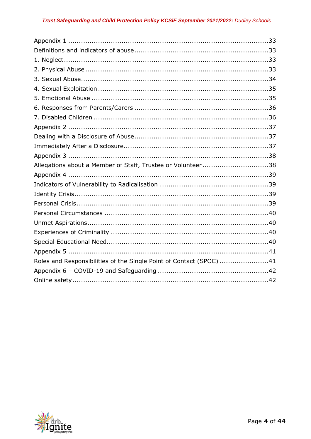| Allegations about a Member of Staff, Trustee or Volunteer38         |
|---------------------------------------------------------------------|
|                                                                     |
|                                                                     |
|                                                                     |
|                                                                     |
|                                                                     |
|                                                                     |
|                                                                     |
|                                                                     |
|                                                                     |
| Roles and Responsibilities of the Single Point of Contact (SPOC) 41 |
|                                                                     |
|                                                                     |

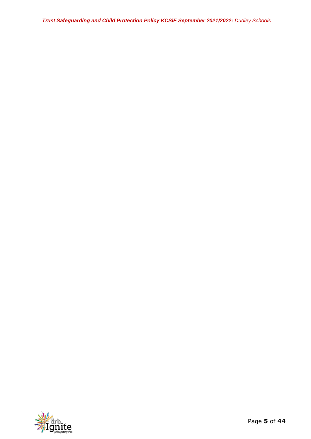*Trust Safeguarding and Child Protection Policy KCSiE September 2021/2022: Dudley Schools*

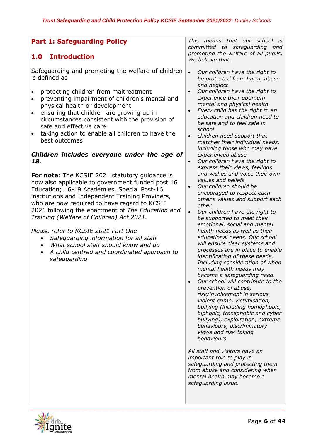<span id="page-5-1"></span><span id="page-5-0"></span>

| <b>Part 1: Safeguarding Policy</b>                                                                                                                                                                                                                                                                                                                                                                                                                                                                                                             | This means that our school is<br>committed to safeguarding and                                                                                                                                                                                                                                                                                                                                                                                                                                                                                                                                                                                                                                                                                                                                                                                                      |
|------------------------------------------------------------------------------------------------------------------------------------------------------------------------------------------------------------------------------------------------------------------------------------------------------------------------------------------------------------------------------------------------------------------------------------------------------------------------------------------------------------------------------------------------|---------------------------------------------------------------------------------------------------------------------------------------------------------------------------------------------------------------------------------------------------------------------------------------------------------------------------------------------------------------------------------------------------------------------------------------------------------------------------------------------------------------------------------------------------------------------------------------------------------------------------------------------------------------------------------------------------------------------------------------------------------------------------------------------------------------------------------------------------------------------|
| <b>Introduction</b><br>1.0                                                                                                                                                                                                                                                                                                                                                                                                                                                                                                                     | promoting the welfare of all pupils.<br>We believe that:                                                                                                                                                                                                                                                                                                                                                                                                                                                                                                                                                                                                                                                                                                                                                                                                            |
| Safeguarding and promoting the welfare of children<br>is defined as<br>protecting children from maltreatment<br>preventing impairment of children's mental and<br>$\bullet$                                                                                                                                                                                                                                                                                                                                                                    | Our children have the right to<br>be protected from harm, abuse<br>and neglect<br>Our children have the right to<br>experience their optimum                                                                                                                                                                                                                                                                                                                                                                                                                                                                                                                                                                                                                                                                                                                        |
| physical health or development<br>ensuring that children are growing up in<br>$\bullet$<br>circumstances consistent with the provision of<br>safe and effective care<br>taking action to enable all children to have the<br>best outcomes                                                                                                                                                                                                                                                                                                      | mental and physical health<br>Every child has the right to an<br>education and children need to<br>be safe and to feel safe in<br>school<br>children need support that<br>matches their individual needs,                                                                                                                                                                                                                                                                                                                                                                                                                                                                                                                                                                                                                                                           |
| Children includes everyone under the age of<br>18.                                                                                                                                                                                                                                                                                                                                                                                                                                                                                             | including those who may have<br>experienced abuse<br>Our children have the right to<br>$\bullet$<br>express their views, feelings                                                                                                                                                                                                                                                                                                                                                                                                                                                                                                                                                                                                                                                                                                                                   |
| For note: The KCSIE 2021 statutory guidance is<br>now also applicable to government funded post 16<br>Education; 16-19 Academies, Special Post-16<br>institutions and Independent Training Providers,<br>who are now required to have regard to KCSIE<br>2021 following the enactment of The Education and<br>Training (Welfare of Children) Act 2021.<br>Please refer to KCSIE 2021 Part One<br>Safeguarding information for all staff<br>What school staff should know and do<br>A child centred and coordinated approach to<br>safeguarding | and wishes and voice their own<br>values and beliefs<br>Our children should be<br>$\bullet$<br>encouraged to respect each<br>other's values and support each<br>other<br>Our children have the right to<br>$\bullet$<br>be supported to meet their<br>emotional, social and mental<br>health needs as well as their<br>educational needs. Our school<br>will ensure clear systems and<br>processes are in place to enable<br>identification of these needs.<br>Including consideration of when<br>mental health needs may<br>become a safeguarding need.<br>Our school will contribute to the<br>$\bullet$<br>prevention of abuse,<br>risk/involvement in serious<br>violent crime, victimisation,<br>bullying (including homophobic,<br>biphobic, transphobic and cyber<br>bullying), exploitation, extreme<br>behaviours, discriminatory<br>views and risk-taking |

*All staff and visitors have an important role to play in safeguarding and protecting them from abuse and considering when mental health may become a safeguarding issue.*

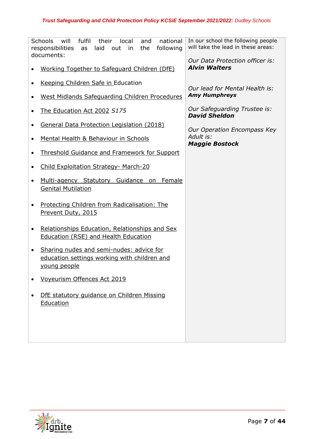| will<br>fulfil<br>national<br><b>Schools</b><br>their<br>local<br>and<br>responsibilities<br>laid<br>the<br>following<br>out<br>in<br>as<br>documents: |                                                                                                                 | In our school the following people<br>will take the lead in these areas: |
|--------------------------------------------------------------------------------------------------------------------------------------------------------|-----------------------------------------------------------------------------------------------------------------|--------------------------------------------------------------------------|
|                                                                                                                                                        | Working Together to Safeguard Children (DfE)                                                                    | Our Data Protection officer is:<br><b>Alvin Walters</b>                  |
|                                                                                                                                                        | Keeping Children Safe in Education                                                                              | Our lead for Mental Health is:                                           |
|                                                                                                                                                        | West Midlands Safeguarding Children Procedures                                                                  | <b>Amy Humphreys</b>                                                     |
| ٠                                                                                                                                                      | The Education Act 2002 S175                                                                                     | Our Safeguarding Trustee is:<br><b>David Sheldon</b>                     |
| ٠                                                                                                                                                      | <b>General Data Protection Legislation (2018)</b>                                                               | Our Operation Encompass Key                                              |
| $\bullet$                                                                                                                                              | Mental Health & Behaviour in Schools                                                                            | Adult is:<br><b>Maggie Bostock</b>                                       |
|                                                                                                                                                        | <b>Threshold Guidance and Framework for Support</b>                                                             |                                                                          |
| ٠                                                                                                                                                      | Child Exploitation Strategy- March-20                                                                           |                                                                          |
| $\bullet$                                                                                                                                              | Multi-agency Statutory Guidance on Female<br><b>Genital Mutilation</b>                                          |                                                                          |
|                                                                                                                                                        | Protecting Children from Radicalisation: The<br>Prevent Duty, 2015                                              |                                                                          |
|                                                                                                                                                        | Relationships Education, Relationships and Sex<br><b>Education (RSE) and Health Education</b>                   |                                                                          |
| $\bullet$                                                                                                                                              | Sharing nudes and semi-nudes: advice for<br>education settings working with children and<br><u>young people</u> |                                                                          |
|                                                                                                                                                        | Voyeurism Offences Act 2019                                                                                     |                                                                          |
|                                                                                                                                                        | DfE statutory guidance on Children Missing<br>Education                                                         |                                                                          |
|                                                                                                                                                        |                                                                                                                 |                                                                          |

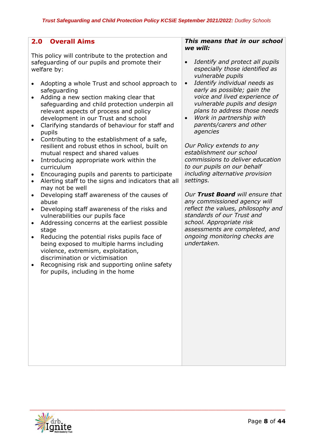<span id="page-7-0"></span>

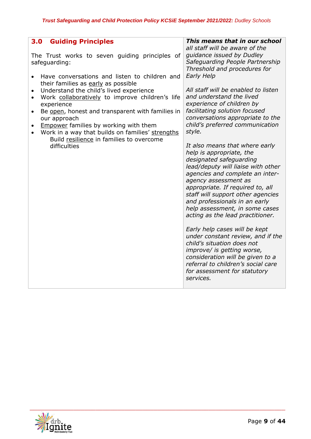<span id="page-8-0"></span>

| 3.0<br><b>Guiding Principles</b>                                                                                                                                                                                                                                                                                                                                                                                                                                                         | This means that in our school<br>all staff will be aware of the                                                                                                                                                                                                                                                                                                                                                                                                                                                                                                                                                                                                                                                                                                                                                                                                        |
|------------------------------------------------------------------------------------------------------------------------------------------------------------------------------------------------------------------------------------------------------------------------------------------------------------------------------------------------------------------------------------------------------------------------------------------------------------------------------------------|------------------------------------------------------------------------------------------------------------------------------------------------------------------------------------------------------------------------------------------------------------------------------------------------------------------------------------------------------------------------------------------------------------------------------------------------------------------------------------------------------------------------------------------------------------------------------------------------------------------------------------------------------------------------------------------------------------------------------------------------------------------------------------------------------------------------------------------------------------------------|
| The Trust works to seven guiding principles of<br>safeguarding:                                                                                                                                                                                                                                                                                                                                                                                                                          | quidance issued by Dudley<br>Safeguarding People Partnership<br>Threshold and procedures for                                                                                                                                                                                                                                                                                                                                                                                                                                                                                                                                                                                                                                                                                                                                                                           |
| Have conversations and listen to children and<br>their families as early as possible<br>Understand the child's lived experience<br>$\bullet$<br>Work collaboratively to improve children's life<br>$\bullet$<br>experience<br>Be open, honest and transparent with families in<br>$\bullet$<br>our approach<br><b>Empower families by working with them</b><br>$\bullet$<br>Work in a way that builds on families' strengths<br>Build resilience in families to overcome<br>difficulties | <b>Early Help</b><br>All staff will be enabled to listen<br>and understand the lived<br>experience of children by<br>facilitating solution focused<br>conversations appropriate to the<br>child's preferred communication<br>style.<br>It also means that where early<br>help is appropriate, the<br>designated safeguarding<br>lead/deputy will liaise with other<br>agencies and complete an inter-<br>agency assessment as<br>appropriate. If required to, all<br>staff will support other agencies<br>and professionals in an early<br>help assessment, in some cases<br>acting as the lead practitioner.<br>Early help cases will be kept<br>under constant review, and if the<br>child's situation does not<br>improve/ is getting worse,<br>consideration will be given to a<br>referral to children's social care<br>for assessment for statutory<br>services. |

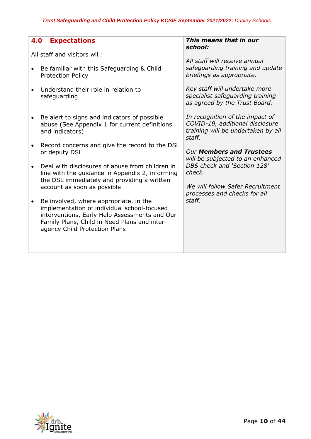#### *Trust Safeguarding and Child Protection Policy KCSiE September 2021/2022: Dudley Schools*

<span id="page-9-0"></span>

| 4.0 | <b>Expectations</b>                                                                                                                                                                                                     | This means that in our<br>school:                                                                                  |
|-----|-------------------------------------------------------------------------------------------------------------------------------------------------------------------------------------------------------------------------|--------------------------------------------------------------------------------------------------------------------|
|     | All staff and visitors will:                                                                                                                                                                                            | All staff will receive annual                                                                                      |
|     | Be familiar with this Safeguarding & Child<br><b>Protection Policy</b>                                                                                                                                                  | safeguarding training and update<br>briefings as appropriate.                                                      |
|     | Understand their role in relation to<br>safeguarding                                                                                                                                                                    | Key staff will undertake more<br>specialist safeguarding training<br>as agreed by the Trust Board.                 |
|     | Be alert to signs and indicators of possible<br>abuse (See Appendix 1 for current definitions<br>and indicators)                                                                                                        | In recognition of the impact of<br>COVID-19, additional disclosure<br>training will be undertaken by all<br>staff. |
|     | Record concerns and give the record to the DSL<br>or deputy DSL                                                                                                                                                         | <b>Our Members and Trustees</b><br>will be subjected to an enhanced                                                |
|     | Deal with disclosures of abuse from children in<br>line with the guidance in Appendix 2, informing<br>the DSL immediately and providing a written<br>account as soon as possible                                        | DBS check and 'Section 128'<br>check.<br>We will follow Safer Recruitment<br>processes and checks for all          |
|     | Be involved, where appropriate, in the<br>implementation of individual school-focused<br>interventions, Early Help Assessments and Our<br>Family Plans, Child in Need Plans and inter-<br>agency Child Protection Plans | staff.                                                                                                             |

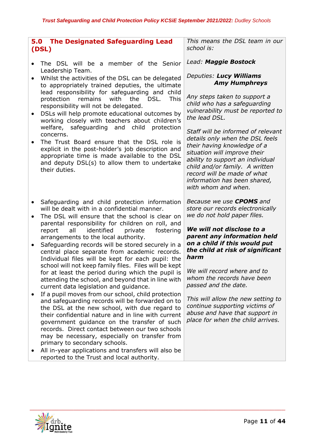<span id="page-10-0"></span>

|           | 5.0 The Designated Safeguarding Lead<br>(DSL)                                                                                                                                                                                                                                                                                                                                                     | This means the DSL team in our<br>school is:                                                                                                                                                                                                                                                     |
|-----------|---------------------------------------------------------------------------------------------------------------------------------------------------------------------------------------------------------------------------------------------------------------------------------------------------------------------------------------------------------------------------------------------------|--------------------------------------------------------------------------------------------------------------------------------------------------------------------------------------------------------------------------------------------------------------------------------------------------|
|           | The DSL will be a member of the Senior<br>Leadership Team.                                                                                                                                                                                                                                                                                                                                        | Lead: Maggie Bostock                                                                                                                                                                                                                                                                             |
|           | Whilst the activities of the DSL can be delegated<br>to appropriately trained deputies, the ultimate                                                                                                                                                                                                                                                                                              | Deputies: Lucy Williams<br><b>Amy Humphreys</b>                                                                                                                                                                                                                                                  |
| $\bullet$ | lead responsibility for safeguarding and child<br>remains with the<br>DSL.<br><b>This</b><br>protection<br>responsibility will not be delegated.<br>DSLs will help promote educational outcomes by<br>working closely with teachers about children's                                                                                                                                              | Any steps taken to support a<br>child who has a safeguarding<br>vulnerability must be reported to<br>the lead DSL.                                                                                                                                                                               |
| $\bullet$ | welfare, safeguarding and child<br>protection<br>concerns.<br>The Trust Board ensure that the DSL role is<br>explicit in the post-holder's job description and<br>appropriate time is made available to the DSL<br>and deputy DSL(s) to allow them to undertake<br>their duties.                                                                                                                  | Staff will be informed of relevant<br>details only when the DSL feels<br>their having knowledge of a<br>situation will improve their<br>ability to support an individual<br>child and/or family. A written<br>record will be made of what<br>information has been shared,<br>with whom and when. |
| $\bullet$ | Safeguarding and child protection information<br>will be dealt with in a confidential manner.<br>The DSL will ensure that the school is clear on                                                                                                                                                                                                                                                  | Because we use <b>CPOMS</b> and<br>store our records electronically<br>we do not hold paper files.                                                                                                                                                                                               |
| $\bullet$ | parental responsibility for children on roll, and<br>identified<br>fostering<br>report<br>all<br>private<br>arrangements to the local authority.<br>Safeguarding records will be stored securely in a<br>central place separate from academic records.<br>Individual files will be kept for each pupil: the                                                                                       | We will not disclose to a<br>parent any information held<br>on a child if this would put<br>the child at risk of significant<br>harm                                                                                                                                                             |
|           | school will not keep family files. Files will be kept<br>for at least the period during which the pupil is<br>attending the school, and beyond that in line with<br>current data legislation and guidance.                                                                                                                                                                                        | We will record where and to<br>whom the records have been<br>passed and the date.                                                                                                                                                                                                                |
| ٠         | If a pupil moves from our school, child protection<br>and safeguarding records will be forwarded on to<br>the DSL at the new school, with due regard to<br>their confidential nature and in line with current<br>government guidance on the transfer of such<br>records. Direct contact between our two schools<br>may be necessary, especially on transfer from<br>primary to secondary schools. | This will allow the new setting to<br>continue supporting victims of<br>abuse and have that support in<br>place for when the child arrives.                                                                                                                                                      |
|           | All in-year applications and transfers will also be<br>reported to the Trust and local authority.                                                                                                                                                                                                                                                                                                 |                                                                                                                                                                                                                                                                                                  |

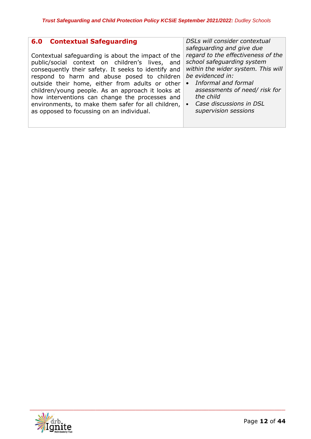<span id="page-11-0"></span>

| <b>6.0 Contextual Safeguarding</b><br>Contextual safeguarding is about the impact of the                                                                                                                                                                                                                                                                                                                          | DSLs will consider contextual<br>safeguarding and give due<br>regard to the effectiveness of the                                                                                                                          |
|-------------------------------------------------------------------------------------------------------------------------------------------------------------------------------------------------------------------------------------------------------------------------------------------------------------------------------------------------------------------------------------------------------------------|---------------------------------------------------------------------------------------------------------------------------------------------------------------------------------------------------------------------------|
| public/social context on children's lives, and<br>consequently their safety. It seeks to identify and<br>respond to harm and abuse posed to children<br>outside their home, either from adults or other<br>children/young people. As an approach it looks at<br>how interventions can change the processes and<br>environments, to make them safer for all children,<br>as opposed to focussing on an individual. | school safeguarding system<br>within the wider system. This will<br>be evidenced in:<br>Informal and formal<br>$\bullet$<br>assessments of need/ risk for<br>the child<br>Case discussions in DSL<br>supervision sessions |

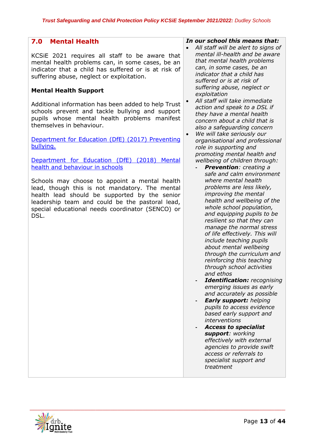#### <span id="page-12-0"></span>**7.0 Mental Health**

KCSiE 2021 requires all staff to be aware that mental health problems can, in some cases, be an indicator that a child has suffered or is at risk of suffering abuse, neglect or exploitation.

#### **Mental Health Support**

Additional information has been added to help Trust schools prevent and tackle bullying and support pupils whose mental health problems manifest themselves in behaviour.

[Department for Education \(DfE\) \(2017\) Preventing](https://www.gov.uk/government/publications/preventing-and-tackling-bullying)  [bullying.](https://www.gov.uk/government/publications/preventing-and-tackling-bullying)

[Department for Education \(DfE\) \(2018\) Mental](https://www.gov.uk/government/publications/mental-health-and-behaviour-in-schools--2)  [health and behaviour in schools](https://www.gov.uk/government/publications/mental-health-and-behaviour-in-schools--2)

Schools may choose to appoint a mental health lead, though this is not mandatory. The mental health lead should be supported by the senior leadership team and could be the pastoral lead, special educational needs coordinator (SENCO) or DSL.

*In our school this means that:*

- *All staff will be alert to signs of mental ill-health and be aware that mental health problems can, in some cases, be an indicator that a child has suffered or is at risk of suffering abuse, neglect or exploitation*
- *All staff will take immediate action and speak to a DSL if they have a mental health concern about a child that is also a safeguarding concern*
- *We will take seriously our organisational and professional role in supporting and promoting mental health and wellbeing of children through:*
	- **-** *Prevention: creating a safe and calm environment where mental health problems are less likely, improving the mental health and wellbeing of the whole school population, and equipping pupils to be resilient so that they can manage the normal stress of life effectively. This will include teaching pupils about mental wellbeing through the curriculum and reinforcing this teaching through school activities and ethos*
	- **-** *Identification: recognising emerging issues as early and accurately as possible*
	- **-** *Early support: helping pupils to access evidence based early support and interventions*
	- **-** *Access to specialist support: working effectively with external agencies to provide swift access or referrals to specialist support and treatment*

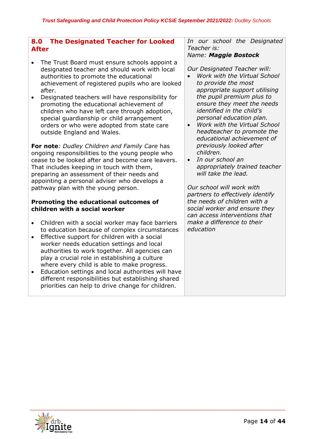#### <span id="page-13-0"></span>**8.0 The Designated Teacher for Looked After**

- The Trust Board must ensure schools appoint a designated teacher and should work with local authorities to promote the educational achievement of registered pupils who are looked after.
- Designated teachers will have responsibility for promoting the educational achievement of children who have left care through adoption, special guardianship or child arrangement orders or who were adopted from state care outside England and Wales.

**For note***: Dudley Children and Family Care* has ongoing responsibilities to the young people who cease to be looked after and become care leavers. That includes keeping in touch with them, preparing an assessment of their needs and appointing a personal adviser who develops a pathway plan with the young person.

#### **Promoting the educational outcomes of children with a social worker**

- Children with a social worker may face barriers to education because of complex circumstances
- Effective support for children with a social worker needs education settings and local authorities to work together. All agencies can play a crucial role in establishing a culture where every child is able to make progress.
- Education settings and local authorities will have different responsibilities but establishing shared priorities can help to drive change for children.

\_\_\_\_\_\_\_\_\_\_\_\_\_\_\_\_\_\_\_\_\_\_\_\_\_\_\_\_\_\_\_\_\_\_\_\_\_\_\_\_\_\_\_\_\_\_\_\_\_\_\_\_\_\_\_\_\_\_\_\_\_\_\_\_\_\_\_\_\_\_

*In our school the Designated Teacher is: Name: Maggie Bostock*

*Our Designated Teacher will:*

- *Work with the Virtual School to provide the most appropriate support utilising the pupil premium plus to ensure they meet the needs identified in the child's personal education plan.*
- *Work with the Virtual School headteacher to promote the educational achievement of previously looked after children.*
- *In our school an appropriately trained teacher will take the lead.*

*Our school will work with partners to effectively identify the needs of children with a social worker and ensure they can access interventions that make a difference to their education*

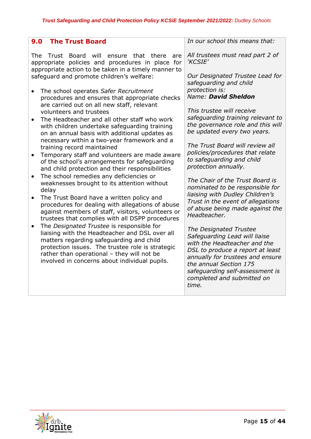<span id="page-14-0"></span>

| 9.0 The Trust Board                                                                                                                                                                                                                                                                                                                                                        | In our school this means that:                                                                                                                                                                                                                                      |  |  |
|----------------------------------------------------------------------------------------------------------------------------------------------------------------------------------------------------------------------------------------------------------------------------------------------------------------------------------------------------------------------------|---------------------------------------------------------------------------------------------------------------------------------------------------------------------------------------------------------------------------------------------------------------------|--|--|
| The Trust Board will ensure that there<br>are<br>appropriate policies and procedures in place for<br>appropriate action to be taken in a timely manner to<br>safeguard and promote children's welfare:<br>The school operates Safer Recruitment<br>procedures and ensures that appropriate checks<br>are carried out on all new staff, relevant<br>volunteers and trustees | All trustees must read part 2 of<br>'KCSIE'<br>Our Designated Trustee Lead for<br>safeguarding and child<br>protection is:<br>Name: David Sheldon<br>This trustee will receive<br>safeguarding training relevant to                                                 |  |  |
| The Headteacher and all other staff who work<br>with children undertake safeguarding training<br>on an annual basis with additional updates as                                                                                                                                                                                                                             | the governance role and this will<br>be updated every two years.                                                                                                                                                                                                    |  |  |
| necessary within a two-year framework and a<br>training record maintained<br>Temporary staff and volunteers are made aware<br>of the school's arrangements for safeguarding<br>and child protection and their responsibilities                                                                                                                                             | The Trust Board will review all<br>policies/procedures that relate<br>to safeguarding and child<br>protection annually.                                                                                                                                             |  |  |
| The school remedies any deficiencies or<br>$\bullet$<br>weaknesses brought to its attention without<br>delay<br>The Trust Board have a written policy and<br>$\bullet$<br>procedures for dealing with allegations of abuse<br>against members of staff, visitors, volunteers or<br>trustees that complies with all DSPP procedures                                         | The Chair of the Trust Board is<br>nominated to be responsible for<br>liaising with Dudley Children's<br>Trust in the event of allegations<br>of abuse being made against the<br>Headteacher.                                                                       |  |  |
| The Designated Trustee is responsible for<br>$\bullet$<br>liaising with the Headteacher and DSL over all<br>matters regarding safeguarding and child<br>protection issues. The trustee role is strategic<br>rather than operational - they will not be<br>involved in concerns about individual pupils.                                                                    | The Designated Trustee<br>Safeguarding Lead will liaise<br>with the Headteacher and the<br>DSL to produce a report at least<br>annually for trustees and ensure<br>the annual Section 175<br>safequarding self-assessment is<br>completed and submitted on<br>time. |  |  |

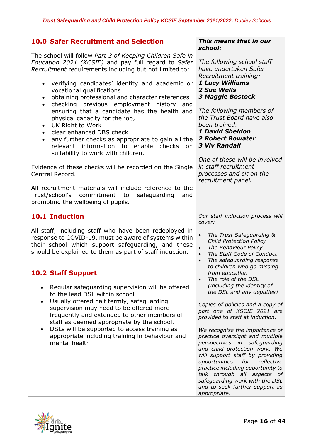<span id="page-15-1"></span><span id="page-15-0"></span>

| <b>10.0 Safer Recruitment and Selection</b>                                                                                                                                                                                                                                                                                                                                                                                                                                                                                                                                                                                                                                                                                                                                                 | This means that in our                                                                                                                                                                                                                                                                                                                                                                                                                                                                                                           |
|---------------------------------------------------------------------------------------------------------------------------------------------------------------------------------------------------------------------------------------------------------------------------------------------------------------------------------------------------------------------------------------------------------------------------------------------------------------------------------------------------------------------------------------------------------------------------------------------------------------------------------------------------------------------------------------------------------------------------------------------------------------------------------------------|----------------------------------------------------------------------------------------------------------------------------------------------------------------------------------------------------------------------------------------------------------------------------------------------------------------------------------------------------------------------------------------------------------------------------------------------------------------------------------------------------------------------------------|
| The school will follow Part 3 of Keeping Children Safe in<br>Education 2021 (KCSIE) and pay full regard to Safer<br>Recruitment requirements including but not limited to:<br>verifying candidates' identity and academic or<br>$\bullet$<br>vocational qualifications<br>obtaining professional and character references<br>٠<br>checking previous employment history<br>and<br>$\bullet$<br>ensuring that a candidate has the health and<br>physical capacity for the job,<br>UK Right to Work<br>$\bullet$<br>clear enhanced DBS check<br>$\bullet$<br>any further checks as appropriate to gain all the<br>$\bullet$<br>relevant information to enable<br>checks on<br>suitability to work with children.<br>Evidence of these checks will be recorded on the Single<br>Central Record. | school:<br>The following school staff<br>have undertaken Safer<br>Recruitment training:<br><b>1 Lucy Williams</b><br><b>2 Sue Wells</b><br><b>3 Maggie Bostock</b><br>The following members of<br>the Trust Board have also<br>been trained:<br><b>1 David Sheldon</b><br><b>2 Robert Bowater</b><br><b>3 Viv Randall</b><br>One of these will be involved<br>in staff recruitment<br>processes and sit on the                                                                                                                   |
| All recruitment materials will include reference to the<br>Trust/school's<br>commitment<br>to<br>safeguarding<br>and<br>promoting the wellbeing of pupils.                                                                                                                                                                                                                                                                                                                                                                                                                                                                                                                                                                                                                                  | recruitment panel.                                                                                                                                                                                                                                                                                                                                                                                                                                                                                                               |
| <b>10.1 Induction</b>                                                                                                                                                                                                                                                                                                                                                                                                                                                                                                                                                                                                                                                                                                                                                                       | Our staff induction process will<br>cover:                                                                                                                                                                                                                                                                                                                                                                                                                                                                                       |
| All staff, including staff who have been redeployed in<br>response to COVID-19, must be aware of systems within<br>their school which support safeguarding, and these<br>should be explained to them as part of staff induction.                                                                                                                                                                                                                                                                                                                                                                                                                                                                                                                                                            | The Trust Safeguarding &<br>$\bullet$<br><b>Child Protection Policy</b><br>The Behaviour Policy<br>$\bullet$<br>The Staff Code of Conduct<br>$\bullet$<br>The safeguarding response<br>$\bullet$<br>to children who go missing                                                                                                                                                                                                                                                                                                   |
| <b>10.2 Staff Support</b>                                                                                                                                                                                                                                                                                                                                                                                                                                                                                                                                                                                                                                                                                                                                                                   | from education<br>The role of the DSL<br>$\bullet$                                                                                                                                                                                                                                                                                                                                                                                                                                                                               |
| Regular safeguarding supervision will be offered<br>to the lead DSL within school<br>Usually offered half termly, safeguarding<br>supervision may need to be offered more<br>frequently and extended to other members of<br>staff as deemed appropriate by the school.<br>DSLs will be supported to access training as<br>٠<br>appropriate including training in behaviour and<br>mental health.                                                                                                                                                                                                                                                                                                                                                                                            | (including the identity of<br>the DSL and any deputies)<br>Copies of policies and a copy of<br>part one of KSCIE 2021 are<br>provided to staff at induction.<br>We recognise the importance of<br>practice oversight and multiple<br>perspectives in safeguarding<br>and child protection work. We<br>will support staff by providing<br>opportunities for<br>reflective<br>practice including opportunity to<br>talk through all aspects of<br>safeguarding work with the DSL<br>and to seek further support as<br>appropriate. |

<span id="page-15-2"></span>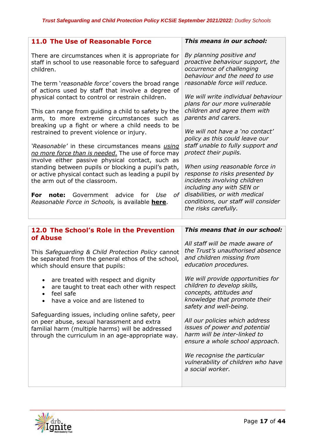<span id="page-16-0"></span>

| 11.0 The Use of Reasonable Force                                                                                                                                                                          | This means in our school:                                                                                                                             |
|-----------------------------------------------------------------------------------------------------------------------------------------------------------------------------------------------------------|-------------------------------------------------------------------------------------------------------------------------------------------------------|
| There are circumstances when it is appropriate for<br>staff in school to use reasonable force to safeguard<br>children.                                                                                   | By planning positive and<br>proactive behaviour support, the<br>occurrence of challenging<br>behaviour and the need to use                            |
| The term 'reasonable force' covers the broad range<br>of actions used by staff that involve a degree of<br>physical contact to control or restrain children.                                              | reasonable force will reduce.<br>We will write individual behaviour<br>plans for our more vulnerable                                                  |
| This can range from guiding a child to safety by the<br>arm, to more extreme circumstances such as<br>breaking up a fight or where a child needs to be<br>restrained to prevent violence or injury.       | children and agree them with<br>parents and carers.<br>We will not have a 'no contact'                                                                |
| 'Reasonable' in these circumstances means using<br>no more force than is needed. The use of force may<br>involve either passive physical contact, such as                                                 | policy as this could leave our<br>staff unable to fully support and<br>protect their pupils.                                                          |
| standing between pupils or blocking a pupil's path,<br>or active physical contact such as leading a pupil by<br>the arm out of the classroom.                                                             | When using reasonable force in<br>response to risks presented by<br>incidents involving children<br>including any with SEN or                         |
| Government advice<br>οf<br>For<br>note:<br>for<br>Use<br>Reasonable Force in Schools, is available here.                                                                                                  | disabilities, or with medical<br>conditions, our staff will consider<br>the risks carefully.                                                          |
|                                                                                                                                                                                                           |                                                                                                                                                       |
| 12.0 The School's Role in the Prevention<br>of Abuse                                                                                                                                                      | This means that in our school:                                                                                                                        |
| This Safeguarding & Child Protection Policy cannot<br>be separated from the general ethos of the school,<br>which should ensure that pupils:                                                              | All staff will be made aware of<br>the Trust's unauthorised absence<br>and children missing from<br>education procedures.                             |
| are treated with respect and dignity<br>are taught to treat each other with respect<br>feel safe<br>have a voice and are listened to                                                                      | We will provide opportunities for<br>children to develop skills,<br>concepts, attitudes and<br>knowledge that promote their<br>safety and well-being. |
| Safeguarding issues, including online safety, peer<br>on peer abuse, sexual harassment and extra<br>familial harm (multiple harms) will be addressed<br>through the curriculum in an age-appropriate way. | All our policies which address<br>issues of power and potential<br>harm will be inter-linked to<br>ensure a whole school approach.                    |
|                                                                                                                                                                                                           | We recognise the particular<br>vulnerability of children who have                                                                                     |

<span id="page-16-1"></span>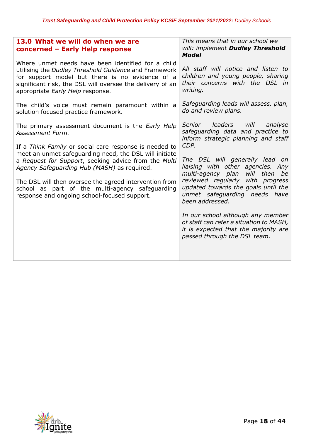<span id="page-17-0"></span>

| 13.0 What we will do when we are<br>concerned - Early Help response                                                                                                                                                                                             | This means that in our school we<br>will: implement Dudley Threshold<br><b>Model</b>                                                                 |
|-----------------------------------------------------------------------------------------------------------------------------------------------------------------------------------------------------------------------------------------------------------------|------------------------------------------------------------------------------------------------------------------------------------------------------|
| Where unmet needs have been identified for a child<br>utilising the Dudley Threshold Guidance and Framework<br>for support model but there is no evidence of a<br>significant risk, the DSL will oversee the delivery of an<br>appropriate Early Help response. | All staff will notice and listen to<br>children and young people, sharing<br>their concerns with the DSL in<br>writing.                              |
| The child's voice must remain paramount within a<br>solution focused practice framework.                                                                                                                                                                        | Safeguarding leads will assess, plan,<br>do and review plans.                                                                                        |
| The primary assessment document is the Early Help<br>Assessment Form.                                                                                                                                                                                           | Senior leaders<br>will<br>analyse<br>safeguarding data and practice to<br>inform strategic planning and staff                                        |
| If a Think Family or social care response is needed to<br>meet an unmet safeguarding need, the DSL will initiate<br>a Request for Support, seeking advice from the Multi<br>Agency Safeguarding Hub (MASH) as required.                                         | CDP.<br>The DSL will generally lead on<br>liaising with other agencies. Any<br>multi-agency plan<br>will then be                                     |
| The DSL will then oversee the agreed intervention from<br>school as part of the multi-agency safeguarding<br>response and ongoing school-focused support.                                                                                                       | reviewed regularly with progress<br>updated towards the goals until the<br>unmet safeguarding needs have<br>been addressed.                          |
|                                                                                                                                                                                                                                                                 | In our school although any member<br>of staff can refer a situation to MASH,<br>it is expected that the majority are<br>passed through the DSL team. |
|                                                                                                                                                                                                                                                                 |                                                                                                                                                      |

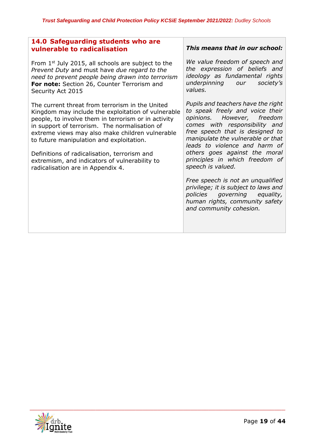#### <span id="page-18-0"></span>**14.0 Safeguarding students who are vulnerable to radicalisation**

From  $1<sup>st</sup>$  July 2015, all schools are subject to the *Prevent Duty* and must have *due regard to the need to prevent people being drawn into terrorism* **For note:** Section 26, Counter Terrorism and Security Act 2015

The current threat from terrorism in the United Kingdom may include the exploitation of vulnerable people, to involve them in terrorism or in activity in support of terrorism. The normalisation of extreme views may also make children vulnerable to future manipulation and exploitation.

Definitions of radicalisation, terrorism and extremism, and indicators of vulnerability to radicalisation are in Appendix 4.

#### *This means that in our school:*

*We value freedom of speech and the expression of beliefs and ideology as fundamental rights underpinning our society's values.*

*Pupils and teachers have the right to speak freely and voice their opinions. However, freedom comes with responsibility and free speech that is designed to manipulate the vulnerable or that leads to violence and harm of others goes against the moral principles in which freedom of speech is valued.* 

*Free speech is not an unqualified privilege; it is subject to laws and policies governing equality, human rights, community safety and community cohesion.*

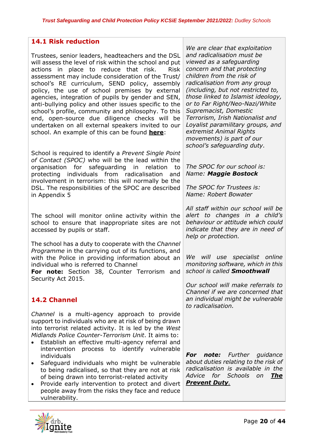#### <span id="page-19-0"></span>**14.1 Risk reduction**

Trustees, senior leaders, headteachers and the DSL will assess the level of risk within the school and put actions in place to reduce that risk. Risk assessment may include consideration of the Trust/ school's RE curriculum, SEND policy, assembly policy, the use of school premises by external agencies, integration of pupils by gender and SEN, anti-bullying policy and other issues specific to the school's profile, community and philosophy. To this end, open-source due diligence checks will be undertaken on all external speakers invited to our school. An example of this can be found **[here](https://www.birmingham.gov.uk/downloads/download/773/the_prevent_duty)**:

School is required to identify a *Prevent Single Point of Contact (SPOC)* who will be the lead within the organisation for safeguarding in relation to protecting individuals from radicalisation and involvement in terrorism: this will normally be the DSL. The responsibilities of the SPOC are described in Appendix 5

The school will monitor online activity within the school to ensure that inappropriate sites are not accessed by pupils or staff.

The school has a duty to cooperate with the *Channel Programme* in the carrying out of its functions, and with the Police in providing information about an individual who is referred to Channel

**For note:** Section 38, Counter Terrorism and Security Act 2015.

# <span id="page-19-1"></span>**14.2 Channel**

*Channel* is a multi-agency approach to provide support to individuals who are at risk of being drawn into terrorist related activity. It is led by the *West Midlands Police Counter-Terrorism Unit*. It aims to:

- Establish an effective multi-agency referral and intervention process to identify vulnerable individuals
- Safeguard individuals who might be vulnerable to being radicalised, so that they are not at risk of being drawn into terrorist-related activity
- Provide early intervention to protect and divert people away from the risks they face and reduce vulnerability.



*The SPOC for our school is: Name: Maggie Bostock*

*The SPOC for Trustees is: Name: Robert Bowater*

*All staff within our school will be alert to changes in a child's behaviour or attitude which could indicate that they are in need of help or protection.*

*We will use specialist online monitoring software, which in this school is called Smoothwall*

*Our school will make referrals to Channel if we are concerned that an individual might be vulnerable to radicalisation.*

*For note: Further guidance about duties relating to the risk of radicalisation is available in the Advice for Schools on [The](https://www.gov.uk/government/publications/protecting-children-from-radicalisation-the-prevent-duty)  [Prevent Duty](https://www.gov.uk/government/publications/protecting-children-from-radicalisation-the-prevent-duty).*

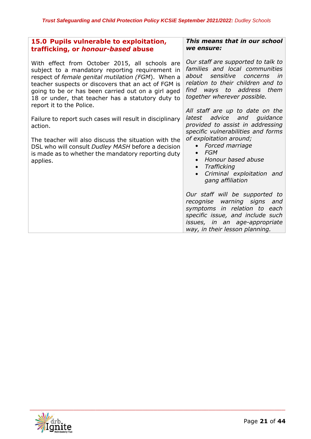<span id="page-20-0"></span>

| 15.0 Pupils vulnerable to exploitation,<br>trafficking, or honour-based abuse                                                                                                                                                                                                                                                                         | This means that in our school<br>we ensure:                                                                                                                                                                |
|-------------------------------------------------------------------------------------------------------------------------------------------------------------------------------------------------------------------------------------------------------------------------------------------------------------------------------------------------------|------------------------------------------------------------------------------------------------------------------------------------------------------------------------------------------------------------|
| With effect from October 2015, all schools are<br>subject to a mandatory reporting requirement in<br>respect of female genital mutilation (FGM). When a<br>teacher suspects or discovers that an act of FGM is<br>going to be or has been carried out on a girl aged<br>18 or under, that teacher has a statutory duty to<br>report it to the Police. | Our staff are supported to talk to<br>families and local communities<br>about sensitive concerns<br>in<br>relation to their children and to<br>ways to address them<br>find<br>together wherever possible. |
| Failure to report such cases will result in disciplinary<br>action.<br>The teacher will also discuss the situation with the<br>DSL who will consult Dudley MASH before a decision                                                                                                                                                                     | All staff are up to date on the<br>latest advice and guidance<br>provided to assist in addressing<br>specific vulnerabilities and forms<br>of exploitation around;<br>Forced marriage<br>$\bullet$<br>FGM  |
| is made as to whether the mandatory reporting duty<br>applies.                                                                                                                                                                                                                                                                                        | Honour based abuse<br>Trafficking<br>$\bullet$<br>Criminal exploitation and<br>gang affiliation                                                                                                            |
|                                                                                                                                                                                                                                                                                                                                                       | Our staff will be supported to<br>recognise<br>warning signs and<br>symptoms in relation to each<br>specific issue, and include such<br>issues, in an age-appropriate<br>way, in their lesson planning.    |

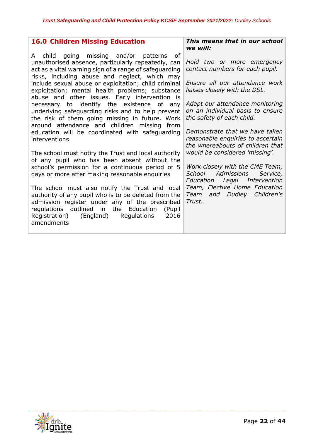<span id="page-21-0"></span>

| <b>16.0 Children Missing Education</b>                                                                  | This means that in our school                                 |
|---------------------------------------------------------------------------------------------------------|---------------------------------------------------------------|
|                                                                                                         | we will:                                                      |
| A child going missing and/or patterns<br>of                                                             |                                                               |
| unauthorised absence, particularly repeatedly, can                                                      | Hold two or more emergency<br>contact numbers for each pupil. |
| act as a vital warning sign of a range of safeguarding<br>risks, including abuse and neglect, which may |                                                               |
| include sexual abuse or exploitation; child criminal                                                    | Ensure all our attendance work                                |
| exploitation; mental health problems; substance                                                         | liaises closely with the DSL.                                 |
| abuse and other issues. Early intervention is                                                           |                                                               |
| necessary to identify the existence of any                                                              | Adapt our attendance monitoring                               |
| underlying safeguarding risks and to help prevent                                                       | on an individual basis to ensure                              |
| the risk of them going missing in future. Work                                                          | the safety of each child.                                     |
| around attendance and children missing from<br>education will be coordinated with safeguarding          | Demonstrate that we have taken                                |
| interventions.                                                                                          | reasonable enquiries to ascertain                             |
|                                                                                                         | the whereabouts of children that                              |
| The school must notify the Trust and local authority                                                    | would be considered 'missing'.                                |
| of any pupil who has been absent without the                                                            |                                                               |
| school's permission for a continuous period of 5                                                        | Work closely with the CME Team,                               |
| days or more after making reasonable enquiries                                                          | School Admissions<br>Service,                                 |
| The school must also notify the Trust and local                                                         | Education Legal Intervention<br>Team, Elective Home Education |
| authority of any pupil who is to be deleted from the                                                    | Team and Dudley Children's                                    |
| admission register under any of the prescribed                                                          | Trust.                                                        |
| regulations outlined in the Education (Pupil                                                            |                                                               |
| Registration) (England) Regulations<br>2016                                                             |                                                               |
| amendments                                                                                              |                                                               |
|                                                                                                         |                                                               |

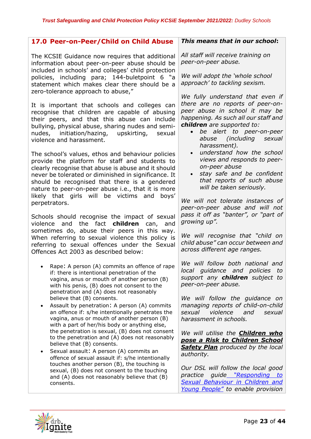<span id="page-22-0"></span>

| 17.0 Peer-on-Peer/Child on Child Abuse                                                                                                                                                                                                                                                                                                                                                                                                                                                                                                                                                                                                                                                                                                                                                                                                                                                                                                  | This means that in our school:                                                                                                                                                                                                                                                                                                                                                                                                                                                                                                                                                                                                     |
|-----------------------------------------------------------------------------------------------------------------------------------------------------------------------------------------------------------------------------------------------------------------------------------------------------------------------------------------------------------------------------------------------------------------------------------------------------------------------------------------------------------------------------------------------------------------------------------------------------------------------------------------------------------------------------------------------------------------------------------------------------------------------------------------------------------------------------------------------------------------------------------------------------------------------------------------|------------------------------------------------------------------------------------------------------------------------------------------------------------------------------------------------------------------------------------------------------------------------------------------------------------------------------------------------------------------------------------------------------------------------------------------------------------------------------------------------------------------------------------------------------------------------------------------------------------------------------------|
| The KCSIE Guidance now requires that additional<br>information about peer-on-peer abuse should be<br>included in schools' and colleges' child protection<br>policies, including para; 144-buletpoint 6 "a<br>statement which makes clear there should be a<br>zero-tolerance approach to abuse,"                                                                                                                                                                                                                                                                                                                                                                                                                                                                                                                                                                                                                                        | All staff will receive training on<br>peer-on-peer abuse.<br>We will adopt the 'whole school<br>approach' to tackling sexism.                                                                                                                                                                                                                                                                                                                                                                                                                                                                                                      |
| It is important that schools and colleges can<br>recognise that children are capable of abusing<br>their peers, and that this abuse can include<br>bullying, physical abuse, sharing nudes and semi-<br>nudes, initiation/hazing, upskirting,<br>sexual<br>violence and harassment.<br>The school's values, ethos and behaviour policies<br>provide the platform for staff and students to<br>clearly recognise that abuse is abuse and it should<br>never be tolerated or diminished in significance. It<br>should be recognised that there is a gendered<br>nature to peer-on-peer abuse i.e., that it is more<br>likely that girls will be victims and boys'<br>perpetrators.<br>Schools should recognise the impact of sexual<br>the fact children<br>violence and<br>can, and<br>sometimes do, abuse their peers in this way.<br>When referring to sexual violence this policy is<br>referring to sexual offences under the Sexual | We fully understand that even if<br>there are no reports of peer-on-<br>peer abuse in school it may be<br>happening. As such all our staff and<br>children are supported to:<br>be alert to peer-on-peer<br>abuse (including sexual<br>harassment).<br>understand how the school<br>views and responds to peer-<br>on-peer abuse<br>stay safe and be confident<br>that reports of such abuse<br>will be taken seriously.<br>We will not tolerate instances of<br>peer-on-peer abuse and will not<br>pass it off as "banter", or "part of<br>growing up".<br>We will recognise that "child on<br>child abuse" can occur between and |
| Offences Act 2003 as described below:<br>Rape: A person (A) commits an offence of rape<br>if: there is intentional penetration of the<br>vagina, anus or mouth of another person (B)<br>with his penis, (B) does not consent to the<br>penetration and (A) does not reasonably<br>believe that (B) consents.<br>Assault by penetration: A person (A) commits<br>an offence if: s/he intentionally penetrates the<br>vagina, anus or mouth of another person (B)<br>with a part of her/his body or anything else,<br>the penetration is sexual, (B) does not consent<br>to the penetration and (A) does not reasonably<br>believe that (B) consents.<br>Sexual assault: A person (A) commits an<br>$\bullet$<br>offence of sexual assault if: s/he intentionally<br>touches another person (B), the touching is<br>sexual, (B) does not consent to the touching<br>and (A) does not reasonably believe that (B)<br>consents.             | across different age ranges.<br>We will follow both national and<br>local guidance and policies to<br>support any children subject to<br>peer-on-peer abuse.<br>We will follow the guidance on<br>managing reports of child-on-child<br>violence<br>sexual<br>and<br>sexual<br>harassment in schools.<br>We will utilise the <b>Children who</b><br>pose a Risk to Children School<br><b>Safety Plan</b> produced by the local<br>authority.<br>Our DSL will follow the local good<br>practice guide "Responding to<br>Sexual Behaviour in Children and<br>Young People" to enable provision                                       |

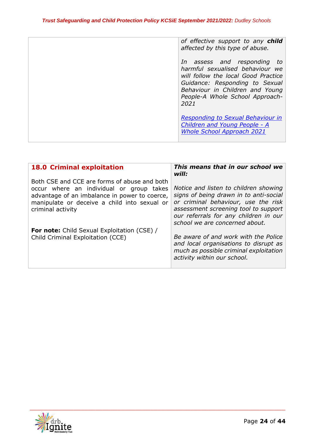| of effective support to any <b>child</b><br>affected by this type of abuse.                                                                                                                                                 |
|-----------------------------------------------------------------------------------------------------------------------------------------------------------------------------------------------------------------------------|
| In assess and responding<br>to to<br>harmful sexualised behaviour we<br>will follow the local Good Practice<br>Guidance: Responding to Sexual<br>Behaviour in Children and Young<br>People-A Whole School Approach-<br>2021 |
| Responding to Sexual Behaviour in<br>Children and Young People - A<br><b>Whole School Approach 2021</b>                                                                                                                     |

<span id="page-23-0"></span>

| <b>18.0 Criminal exploitation</b>                                                                                                                                                                              | This means that in our school we<br>will:                                                                                                                                                                                                 |
|----------------------------------------------------------------------------------------------------------------------------------------------------------------------------------------------------------------|-------------------------------------------------------------------------------------------------------------------------------------------------------------------------------------------------------------------------------------------|
| Both CSE and CCE are forms of abuse and both<br>occur where an individual or group takes<br>advantage of an imbalance in power to coerce,<br>manipulate or deceive a child into sexual or<br>criminal activity | Notice and listen to children showing<br>signs of being drawn in to anti-social<br>or criminal behaviour, use the risk<br>assessment screening tool to support<br>our referrals for any children in our<br>school we are concerned about. |
| <b>For note:</b> Child Sexual Exploitation (CSE) /<br>Child Criminal Exploitation (CCE)                                                                                                                        | Be aware of and work with the Police<br>and local organisations to disrupt as<br>much as possible criminal exploitation<br>activity within our school.                                                                                    |

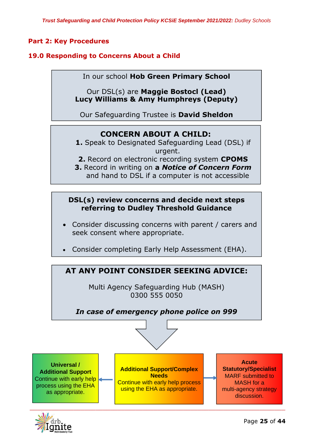#### <span id="page-24-0"></span>**Part 2: Key Procedures**

#### <span id="page-24-1"></span>**19.0 Responding to Concerns About a Child**

In our school **Hob Green Primary School**

Our DSL(s) are **Maggie Bostocl (Lead) Lucy Williams & Amy Humphreys (Deputy)**

Our Safeguarding Trustee is **David Sheldon**

## **CONCERN ABOUT A CHILD:**

- <span id="page-24-2"></span>**1.** Speak to Designated Safeguarding Lead (DSL) if urgent.
	- **2.** Record on electronic recording system **CPOMS**

**3.** Record in writing on **a** *Notice of Concern Form* and hand to DSL if a computer is not accessible

**DSL(s) review concerns and decide next steps referring to Dudley Threshold Guidance**

- Consider discussing concerns with parent / carers and seek consent where appropriate.
- Consider completing Early Help Assessment (EHA).



Multi Agency Safeguarding Hub (MASH) 0300 555 0050

*In case of emergency phone police on 999*



**Universal /**  Continue with early help process using the EHA as appropriate.

Additional Support **Concern Formal Support Complex Concern Formal Structure of Concern Form. The Concern Form Form. In the Concern Form Form. In the Concern Form Form Form. In the Concern Form Form. In the Concern Form F**  $\mathsf{Rep}$   $\leftarrow$  Continue with early help process **Additional Support/Complex Needs** using the EHA as appropriate.

\_\_\_\_\_\_\_\_\_\_\_\_\_\_\_\_\_\_\_\_\_\_\_\_\_\_\_\_\_\_\_\_\_\_\_\_\_\_\_\_\_\_\_\_\_\_\_\_\_\_\_\_\_\_\_\_\_\_\_\_\_\_\_\_\_\_\_\_\_\_

**Acute Statutory/Specialist** MARF submitted to MASH for a multi-agency strategy discussion.

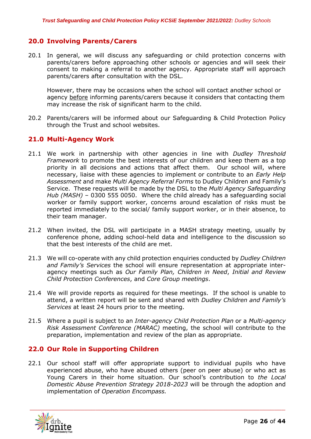#### **20.0 Involving Parents/Carers**

20.1 In general, we will discuss any safeguarding or child protection concerns with parents/carers before approaching other schools or agencies and will seek their consent to making a referral to another agency. Appropriate staff will approach parents/carers after consultation with the DSL.

However, there may be occasions when the school will contact another school or agency before informing parents/carers because it considers that contacting them may increase the risk of significant harm to the child.

20.2 Parents/carers will be informed about our Safeguarding & Child Protection Policy through the Trust and school websites.

#### <span id="page-25-0"></span>**21.0 Multi-Agency Work**

- 21.1 We work in partnership with other agencies in line with *Dudley Threshold Framework* to promote the best interests of our children and keep them as a top priority in all decisions and actions that affect them. Our school will, where necessary, liaise with these agencies to implement or contribute to an *Early Help Assessment* and make *Multi Agency Referral Forms* to Dudley Children and Family's Service. These requests will be made by the DSL to the *Multi Agency Safeguarding Hub (MASH)* – 0300 555 0050. Where the child already has a safeguarding social worker or family support worker, concerns around escalation of risks must be reported immediately to the social/ family support worker, or in their absence, to their team manager.
- 21.2 When invited, the DSL will participate in a MASH strategy meeting, usually by conference phone, adding school-held data and intelligence to the discussion so that the best interests of the child are met.
- 21.3 We will co-operate with any child protection enquiries conducted by *Dudley Children and Family's Services* the school will ensure representation at appropriate interagency meetings such as *Our Family Plan, Children in Need*, *Initial and Review Child Protection Conferences*, and *Core Group meetings*.
- 21.4 We will provide reports as required for these meetings. If the school is unable to attend, a written report will be sent and shared with *Dudley Children and Family's Services* at least 24 hours prior to the meeting.
- 21.5 Where a pupil is subject to an *Inter-agency Child Protection Plan* or a *Multi-agency Risk Assessment Conference (MARAC)* meeting, the school will contribute to the preparation, implementation and review of the plan as appropriate.

#### <span id="page-25-1"></span>**22.0 Our Role in Supporting Children**

22.1 Our school staff will offer appropriate support to individual pupils who have experienced abuse, who have abused others (peer on peer abuse) or who act as Young Carers in their home situation. Our school's contribution to *the Local Domestic Abuse Prevention Strategy 2018-2023* will be through the adoption and implementation of *Operation Encompass.*

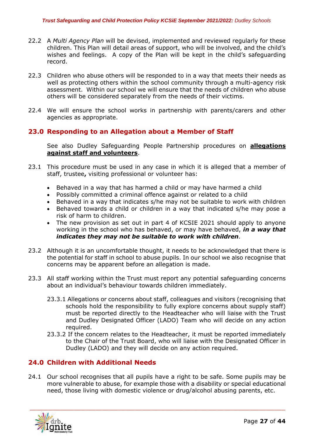- 22.2 A *Multi Agency Plan* will be devised, implemented and reviewed regularly for these children. This Plan will detail areas of support, who will be involved, and the child's wishes and feelings. A copy of the Plan will be kept in the child's safeguarding record.
- 22.3 Children who abuse others will be responded to in a way that meets their needs as well as protecting others within the school community through a multi-agency risk assessment. Within our school we will ensure that the needs of children who abuse others will be considered separately from the needs of their victims.
- 22.4 We will ensure the school works in partnership with parents/carers and other agencies as appropriate.

#### <span id="page-26-0"></span>**23.0 Responding to an Allegation about a Member of Staff**

See also Dudley Safeguarding People Partnership procedures on **allegations against staff and volunteers**.

- 23.1 This procedure must be used in any case in which it is alleged that a member of staff, trustee**,** visiting professional or volunteer has:
	- Behaved in a way that has harmed a child or may have harmed a child
	- Possibly committed a criminal offence against or related to a child
	- Behaved in a way that indicates s/he may not be suitable to work with children
	- Behaved towards a child or children in a way that indicated s/he may pose a risk of harm to children.
	- The new provision as set out in part 4 of KCSIE 2021 should apply to anyone working in the school who has behaved, or may have behaved, *in a way that indicates they may not be suitable to work with children.*
- 23.2 Although it is an uncomfortable thought, it needs to be acknowledged that there is the potential for staff in school to abuse pupils. In our school we also recognise that concerns may be apparent before an allegation is made.
- 23.3 All staff working within the Trust must report any potential safeguarding concerns about an individual's behaviour towards children immediately.
	- 23.3.1 Allegations or concerns about staff, colleagues and visitors (recognising that schools hold the responsibility to fully explore concerns about supply staff) must be reported directly to the Headteacher who will liaise with the Trust and Dudley Designated Officer (LADO) Team who will decide on any action required.
	- 23.3.2 If the concern relates to the Headteacher, it must be reported immediately to the Chair of the Trust Board, who will liaise with the Designated Officer in Dudley (LADO) and they will decide on any action required.

#### <span id="page-26-1"></span>**24.0 Children with Additional Needs**

24.1 Our school recognises that all pupils have a right to be safe. Some pupils may be more vulnerable to abuse, for example those with a disability or special educational need, those living with domestic violence or drug/alcohol abusing parents, etc.

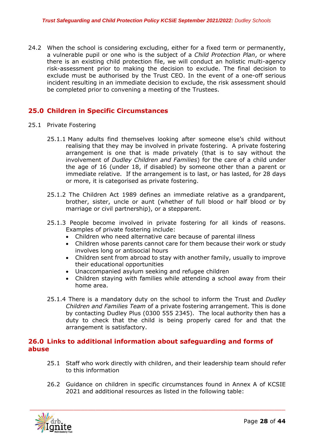24.2 When the school is considering excluding, either for a fixed term or permanently, a vulnerable pupil or one who is the subject of a *Child Protection Plan*, or where there is an existing child protection file, we will conduct an holistic multi-agency risk-assessment prior to making the decision to exclude. The final decision to exclude must be authorised by the Trust CEO. In the event of a one-off serious incident resulting in an immediate decision to exclude, the risk assessment should be completed prior to convening a meeting of the Trustees.

#### <span id="page-27-0"></span>**25.0 Children in Specific Circumstances**

- 25.1 Private Fostering
	- 25.1.1 Many adults find themselves looking after someone else's child without realising that they may be involved in private fostering. A private fostering arrangement is one that is made privately (that is to say without the involvement of *Dudley Children and Families*) for the care of a child under the age of 16 (under 18, if disabled) by someone other than a parent or immediate relative. If the arrangement is to last, or has lasted, for 28 days or more, it is categorised as private fostering.
	- 25.1.2 The Children Act 1989 defines an immediate relative as a grandparent, brother, sister, uncle or aunt (whether of full blood or half blood or by marriage or civil partnership), or a stepparent.
	- 25.1.3 People become involved in private fostering for all kinds of reasons. Examples of private fostering include:
		- Children who need alternative care because of parental illness
		- Children whose parents cannot care for them because their work or study involves long or antisocial hours
		- Children sent from abroad to stay with another family, usually to improve their educational opportunities
		- Unaccompanied asylum seeking and refugee children
		- Children staying with families while attending a school away from their home area.
	- 25.1.4 There is a mandatory duty on the school to inform the Trust and *Dudley Children and Families Team* of a private fostering arrangement. This is done by contacting Dudley Plus (0300 555 2345). The local authority then has a duty to check that the child is being properly cared for and that the arrangement is satisfactory.

#### <span id="page-27-1"></span>**26.0 Links to additional information about safeguarding and forms of abuse**

- 25.1 Staff who work directly with children, and their leadership team should refer to this information
- 26.2 Guidance on children in specific circumstances found in Annex A of KCSIE 2021 and additional resources as listed in the following table:

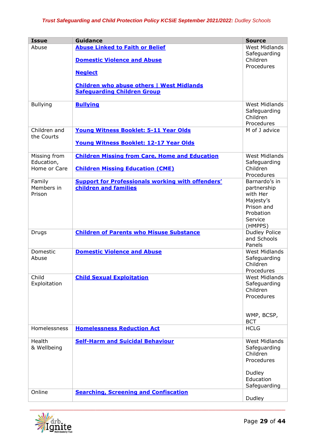| <b>Issue</b>    | <b>Guidance</b>                                          | <b>Source</b>        |
|-----------------|----------------------------------------------------------|----------------------|
| Abuse           | <b>Abuse Linked to Faith or Belief</b>                   | <b>West Midlands</b> |
|                 |                                                          | Safeguarding         |
|                 |                                                          |                      |
|                 | <b>Domestic Violence and Abuse</b>                       | Children             |
|                 |                                                          | Procedures           |
|                 | <b>Neglect</b>                                           |                      |
|                 |                                                          |                      |
|                 |                                                          |                      |
|                 | <b>Children who abuse others   West Midlands</b>         |                      |
|                 | <b>Safeguarding Children Group</b>                       |                      |
|                 |                                                          |                      |
| <b>Bullying</b> | <b>Bullying</b>                                          | <b>West Midlands</b> |
|                 |                                                          | Safeguarding         |
|                 |                                                          | Children             |
|                 |                                                          |                      |
|                 |                                                          | Procedures           |
| Children and    | <b>Young Witness Booklet: 5-11 Year Olds</b>             | M of J advice        |
| the Courts      |                                                          |                      |
|                 | Young Witness Booklet: 12-17 Year Olds                   |                      |
|                 |                                                          |                      |
|                 |                                                          |                      |
| Missing from    | <b>Children Missing from Care, Home and Education</b>    | <b>West Midlands</b> |
| Education,      |                                                          | Safeguarding         |
| Home or Care    | <b>Children Missing Education (CME)</b>                  | Children             |
|                 |                                                          | Procedures           |
|                 |                                                          |                      |
| Family          | <b>Support for Professionals working with offenders'</b> | Barnardo's in        |
| Members in      | children and families                                    | partnership          |
| Prison          |                                                          | with Her             |
|                 |                                                          | Majesty's            |
|                 |                                                          | Prison and           |
|                 |                                                          |                      |
|                 |                                                          | Probation            |
|                 |                                                          | Service              |
|                 |                                                          | (HMPPS)              |
| Drugs           | <b>Children of Parents who Misuse Substance</b>          | <b>Dudley Police</b> |
|                 |                                                          | and Schools          |
|                 |                                                          | Panels               |
|                 |                                                          |                      |
| Domestic        | <b>Domestic Violence and Abuse</b>                       | <b>West Midlands</b> |
| Abuse           |                                                          | Safeguarding         |
|                 |                                                          | Children             |
|                 |                                                          | Procedures           |
|                 |                                                          |                      |
| Child           | <b>Child Sexual Exploitation</b>                         | <b>West Midlands</b> |
| Exploitation    |                                                          | Safeguarding         |
|                 |                                                          | Children             |
|                 |                                                          | Procedures           |
|                 |                                                          |                      |
|                 |                                                          |                      |
|                 |                                                          |                      |
|                 |                                                          | WMP, BCSP,           |
|                 |                                                          | <b>BCT</b>           |
| Homelessness    | <b>Homelessness Reduction Act</b>                        | <b>HCLG</b>          |
|                 |                                                          |                      |
|                 |                                                          | <b>West Midlands</b> |
| Health          | <b>Self-Harm and Suicidal Behaviour</b>                  |                      |
| & Wellbeing     |                                                          | Safeguarding         |
|                 |                                                          | Children             |
|                 |                                                          | Procedures           |
|                 |                                                          |                      |
|                 |                                                          |                      |
|                 |                                                          | Dudley               |
|                 |                                                          | Education            |
|                 |                                                          | Safeguarding         |
| Online          | <b>Searching, Screening and Confiscation</b>             |                      |
|                 |                                                          | Dudley               |

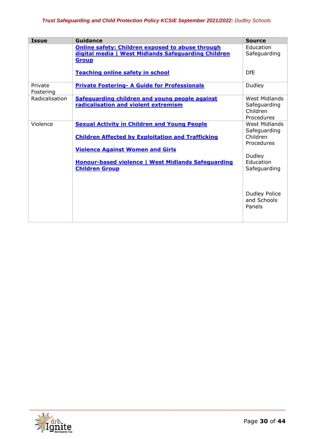| <b>Issue</b>         | <b>Guidance</b>                                                                                                               | <b>Source</b>                                                  |
|----------------------|-------------------------------------------------------------------------------------------------------------------------------|----------------------------------------------------------------|
|                      | <b>Online safety: Children exposed to abuse through</b><br>digital media   West Midlands Safeguarding Children                | Education<br>Safeguarding                                      |
|                      | <b>Group</b>                                                                                                                  |                                                                |
|                      | <b>Teaching online safety in school</b>                                                                                       | <b>DfE</b>                                                     |
| Private<br>Fostering | <b>Private Fostering- A Guide for Professionals</b>                                                                           | Dudley                                                         |
| Radicalisation       | Safeguarding children and young people against<br>radicalisation and violent extremism                                        | <b>West Midlands</b><br>Safeguarding<br>Children<br>Procedures |
| Violence             | <b>Sexual Activity in Children and Young People</b><br><b>Children Affected by Exploitation and Trafficking</b>               | <b>West Midlands</b><br>Safeguarding<br>Children<br>Procedures |
|                      | <b>Violence Against Women and Girls</b><br><b>Honour-based violence   West Midlands Safequarding</b><br><b>Children Group</b> | Dudley<br>Education<br>Safeguarding                            |
|                      |                                                                                                                               | <b>Dudley Police</b><br>and Schools<br>Panels                  |

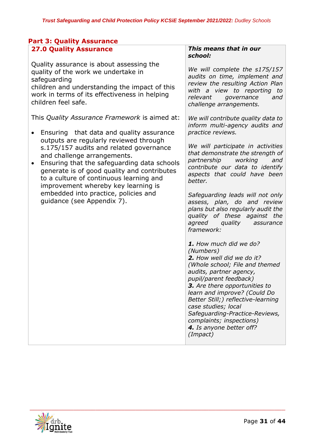## <span id="page-30-1"></span><span id="page-30-0"></span>**Part 3: Quality Assurance 27.0 Quality Assurance**

Quality assurance is about assessing the quality of the work we undertake in safeguarding children and understanding the impact of this work in terms of its effectiveness in helping children feel safe.

This *Quality Assurance Framework* is aimed at:

- Ensuring that data and quality assurance outputs are regularly reviewed through s.175/157 audits and related governance and challenge arrangements.
- Ensuring that the safeguarding data schools generate is of good quality and contributes to a culture of continuous learning and improvement whereby key learning is embedded into practice, policies and guidance (see Appendix 7).

#### *This means that in our school:*

*We will complete the s175/157 audits on time, implement and review the resulting Action Plan with a view to reporting to relevant governance and challenge arrangements.*

*We will contribute quality data to inform multi-agency audits and practice reviews.*

*We will participate in activities that demonstrate the strength of partnership working and contribute our data to identify aspects that could have been better.*

*Safeguarding leads will not only assess, plan, do and review plans but also regularly audit the quality of these against the agreed quality assurance framework:*

*1. How much did we do? (Numbers) 2. How well did we do it? (Whole school; File and themed audits, partner agency, pupil/parent feedback) 3. Are there opportunities to learn and improve? (Could Do Better Still;) reflective-learning case studies; local Safeguarding-Practice-Reviews, complaints; inspections) 4. Is anyone better off? (Impact)*

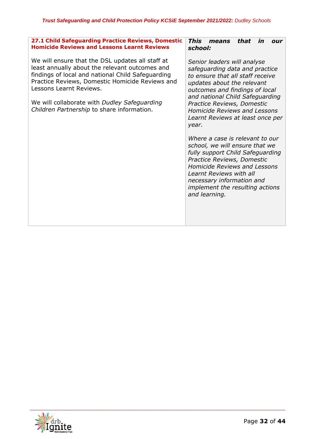| 27.1 Child Safeguarding Practice Reviews, Domestic<br><b>Homicide Reviews and Lessons Learnt Reviews</b>                                                                                                                                                                                                                            | This<br>that<br>in<br>means<br>our<br>school:                                                                                                                                                                                                                                                                                                                                                                                                                                                                                                                                                                    |
|-------------------------------------------------------------------------------------------------------------------------------------------------------------------------------------------------------------------------------------------------------------------------------------------------------------------------------------|------------------------------------------------------------------------------------------------------------------------------------------------------------------------------------------------------------------------------------------------------------------------------------------------------------------------------------------------------------------------------------------------------------------------------------------------------------------------------------------------------------------------------------------------------------------------------------------------------------------|
| We will ensure that the DSL updates all staff at<br>least annually about the relevant outcomes and<br>findings of local and national Child Safeguarding<br>Practice Reviews, Domestic Homicide Reviews and<br>Lessons Learnt Reviews.<br>We will collaborate with Dudley Safeguarding<br>Children Partnership to share information. | Senior leaders will analyse<br>safeguarding data and practice<br>to ensure that all staff receive<br>updates about the relevant<br>outcomes and findings of local<br>and national Child Safeguarding<br>Practice Reviews, Domestic<br><b>Homicide Reviews and Lessons</b><br>Learnt Reviews at least once per<br>year.<br>Where a case is relevant to our<br>school, we will ensure that we<br>fully support Child Safeguarding<br>Practice Reviews, Domestic<br><b>Homicide Reviews and Lessons</b><br>Learnt Reviews with all<br>necessary information and<br>implement the resulting actions<br>and learning. |

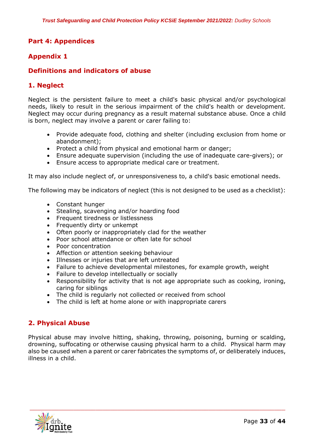#### <span id="page-32-0"></span>**Part 4: Appendices**

#### <span id="page-32-1"></span>**Appendix 1**

#### <span id="page-32-2"></span>**Definitions and indicators of abuse**

#### <span id="page-32-3"></span>**1. Neglect**

Neglect is the persistent failure to meet a child's basic physical and/or psychological needs, likely to result in the serious impairment of the child's health or development. Neglect may occur during pregnancy as a result maternal substance abuse. Once a child is born, neglect may involve a parent or carer failing to:

- Provide adequate food, clothing and shelter (including exclusion from home or abandonment);
- Protect a child from physical and emotional harm or danger;
- Ensure adequate supervision (including the use of inadequate care-givers); or
- Ensure access to appropriate medical care or treatment.

It may also include neglect of, or unresponsiveness to, a child's basic emotional needs.

The following may be indicators of neglect (this is not designed to be used as a checklist):

- Constant hunger
- Stealing, scavenging and/or hoarding food
- Frequent tiredness or listlessness
- Frequently dirty or unkempt
- Often poorly or inappropriately clad for the weather
- Poor school attendance or often late for school
- Poor concentration
- Affection or attention seeking behaviour
- Illnesses or injuries that are left untreated
- Failure to achieve developmental milestones, for example growth, weight
- Failure to develop intellectually or socially
- Responsibility for activity that is not age appropriate such as cooking, ironing, caring for siblings
- The child is regularly not collected or received from school
- The child is left at home alone or with inappropriate carers

#### <span id="page-32-4"></span>**2. Physical Abuse**

Physical abuse may involve hitting, shaking, throwing, poisoning, burning or scalding, drowning, suffocating or otherwise causing physical harm to a child. Physical harm may also be caused when a parent or carer fabricates the symptoms of, or deliberately induces, illness in a child.

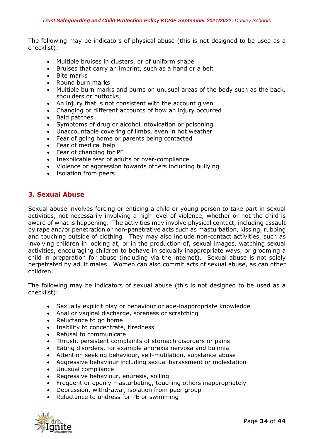The following may be indicators of physical abuse (this is not designed to be used as a checklist):

- Multiple bruises in clusters, or of uniform shape
- Bruises that carry an imprint, such as a hand or a belt
- Bite marks
- Round burn marks
- Multiple burn marks and burns on unusual areas of the body such as the back, shoulders or buttocks;
- An injury that is not consistent with the account given
- Changing or different accounts of how an injury occurred
- Bald patches
- Symptoms of drug or alcohol intoxication or poisoning
- Unaccountable covering of limbs, even in hot weather
- Fear of going home or parents being contacted
- Fear of medical help
- Fear of changing for PE
- Inexplicable fear of adults or over-compliance
- Violence or aggression towards others including bullying
- Isolation from peers

#### <span id="page-33-0"></span>**3. Sexual Abuse**

Sexual abuse involves forcing or enticing a child or young person to take part in sexual activities, not necessarily involving a high level of violence, whether or not the child is aware of what is happening. The activities may involve physical contact, including assault by rape and/or penetration or non-penetrative acts such as masturbation, kissing, rubbing and touching outside of clothing*.* They may also include non-contact activities, such as involving children in looking at, or in the production of, sexual images, watching sexual activities, encouraging children to behave in sexually inappropriate ways, or grooming a child in preparation for abuse (including via the internet). Sexual abuse is not solely perpetrated by adult males. Women can also commit acts of sexual abuse, as can other children.

The following may be indicators of sexual abuse (this is not designed to be used as a checklist):

- Sexually explicit play or behaviour or age-inappropriate knowledge
- Anal or vaginal discharge, soreness or scratching
- Reluctance to go home
- Inability to concentrate, tiredness
- Refusal to communicate
- Thrush, persistent complaints of stomach disorders or pains
- Eating disorders, for example anorexia nervosa and bulimia
- Attention seeking behaviour, self-mutilation, substance abuse
- Aggressive behaviour including sexual harassment or molestation
- Unusual compliance
- Regressive behaviour, enuresis, soiling
- Frequent or openly masturbating, touching others inappropriately

- Depression, withdrawal, isolation from peer group
- Reluctance to undress for PE or swimming

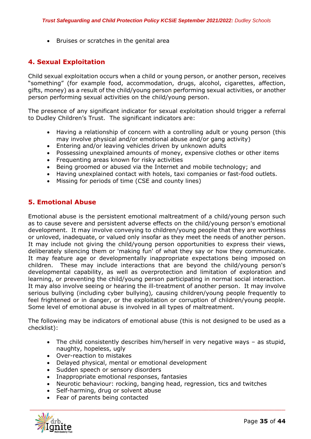• Bruises or scratches in the genital area

#### <span id="page-34-0"></span>**4. Sexual Exploitation**

Child sexual exploitation occurs when a child or young person, or another person, receives "something" (for example food, accommodation, drugs, alcohol, cigarettes, affection, gifts, money) as a result of the child/young person performing sexual activities, or another person performing sexual activities on the child/young person.

The presence of any significant indicator for sexual exploitation should trigger a referral to Dudley Children's Trust. The significant indicators are:

- Having a relationship of concern with a controlling adult or young person (this may involve physical and/or emotional abuse and/or gang activity)
- Entering and/or leaving vehicles driven by unknown adults
- Possessing unexplained amounts of money, expensive clothes or other items
- Frequenting areas known for risky activities
- Being groomed or abused via the Internet and mobile technology; and
- Having unexplained contact with hotels, taxi companies or fast-food outlets.
- Missing for periods of time (CSE and county lines)

#### <span id="page-34-1"></span>**5. Emotional Abuse**

Emotional abuse is the persistent emotional maltreatment of a child/young person such as to cause severe and persistent adverse effects on the child/young person's emotional development. It may involve conveying to children/young people that they are worthless or unloved, inadequate, or valued only insofar as they meet the needs of another person. It may include not giving the child/young person opportunities to express their views, deliberately silencing them or 'making fun' of what they say or how they communicate. It may feature age or developmentally inappropriate expectations being imposed on children. These may include interactions that are beyond the child/young person's developmental capability, as well as overprotection and limitation of exploration and learning, or preventing the child/young person participating in normal social interaction. It may also involve seeing or hearing the ill-treatment of another person. It may involve serious bullying (including cyber bullying)*,* causing children/young people frequently to feel frightened or in danger, or the exploitation or corruption of children/young people. Some level of emotional abuse is involved in all types of maltreatment.

The following may be indicators of emotional abuse (this is not designed to be used as a checklist):

- The child consistently describes him/herself in very negative ways as stupid, naughty, hopeless, ugly
- Over-reaction to mistakes
- Delayed physical, mental or emotional development
- Sudden speech or sensory disorders
- Inappropriate emotional responses, fantasies
- Neurotic behaviour: rocking, banging head, regression, tics and twitches

- Self-harming, drug or solvent abuse
- Fear of parents being contacted

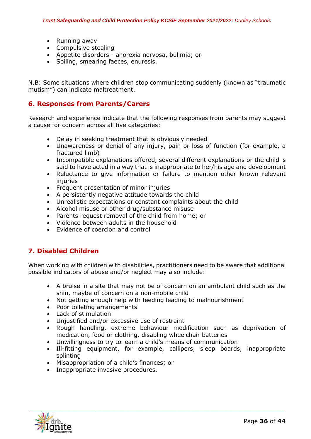- Running away
- Compulsive stealing
- Appetite disorders anorexia nervosa, bulimia; or
- Soiling, smearing faeces, enuresis.

N.B: Some situations where children stop communicating suddenly (known as "traumatic mutism") can indicate maltreatment.

#### <span id="page-35-0"></span>**6. Responses from Parents/Carers**

Research and experience indicate that the following responses from parents may suggest a cause for concern across all five categories:

- Delay in seeking treatment that is obviously needed
- Unawareness or denial of any injury, pain or loss of function (for example, a fractured limb)
- Incompatible explanations offered, several different explanations or the child is said to have acted in a way that is inappropriate to her/his age and development
- Reluctance to give information or failure to mention other known relevant injuries
- Frequent presentation of minor injuries
- A persistently negative attitude towards the child
- Unrealistic expectations or constant complaints about the child
- Alcohol misuse or other drug/substance misuse
- Parents request removal of the child from home; or
- Violence between adults in the household
- Evidence of coercion and control

#### <span id="page-35-1"></span>**7. Disabled Children**

When working with children with disabilities, practitioners need to be aware that additional possible indicators of abuse and/or neglect may also include:

- A bruise in a site that may not be of concern on an ambulant child such as the shin, maybe of concern on a non-mobile child
- Not getting enough help with feeding leading to malnourishment
- Poor toileting arrangements
- Lack of stimulation
- Unjustified and/or excessive use of restraint
- Rough handling, extreme behaviour modification such as deprivation of medication, food or clothing, disabling wheelchair batteries
- Unwillingness to try to learn a child's means of communication
- Ill-fitting equipment, for example, callipers, sleep boards, inappropriate splinting

- Misappropriation of a child's finances; or
- Inappropriate invasive procedures.

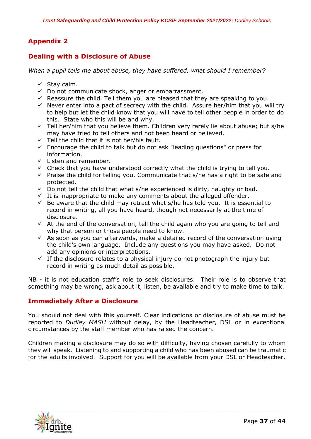#### <span id="page-36-1"></span><span id="page-36-0"></span>**Dealing with a Disclosure of Abuse**

*When a pupil tells me about abuse, they have suffered, what should I remember?*

- ✓ Stay calm.
- ✓ Do not communicate shock, anger or embarrassment.
- $\checkmark$  Reassure the child. Tell them you are pleased that they are speaking to you.
- $\checkmark$  Never enter into a pact of secrecy with the child. Assure her/him that you will try to help but let the child know that you will have to tell other people in order to do this. State who this will be and why.
- $\checkmark$  Tell her/him that you believe them. Children very rarely lie about abuse; but s/he may have tried to tell others and not been heard or believed.
- $\checkmark$  Tell the child that it is not her/his fault.
- $\checkmark$  Encourage the child to talk but do not ask "leading questions" or press for information.
- $\checkmark$  Listen and remember.
- $\checkmark$  Check that you have understood correctly what the child is trying to tell you.
- ✓ Praise the child for telling you. Communicate that s/he has a right to be safe and protected.
- $\checkmark$  Do not tell the child that what s/he experienced is dirty, naughty or bad.
- $\checkmark$  It is inappropriate to make any comments about the alleged offender.
- $\checkmark$  Be aware that the child may retract what s/he has told you. It is essential to record in writing, all you have heard, though not necessarily at the time of disclosure.
- $\checkmark$  At the end of the conversation, tell the child again who you are going to tell and why that person or those people need to know.
- $\checkmark$  As soon as you can afterwards, make a detailed record of the conversation using the child's own language. Include any questions you may have asked. Do not add any opinions or interpretations.
- $\checkmark$  If the disclosure relates to a physical injury do not photograph the injury but record in writing as much detail as possible.

NB - it is not education staff's role to seek disclosures. Their role is to observe that something may be wrong, ask about it, listen, be available and try to make time to talk.

#### <span id="page-36-2"></span>**Immediately After a Disclosure**

You should not deal with this yourself. Clear indications or disclosure of abuse must be reported to *Dudley MASH* without delay, by the Headteacher, DSL or in exceptional circumstances by the staff member who has raised the concern.

Children making a disclosure may do so with difficulty, having chosen carefully to whom they will speak. Listening to and supporting a child who has been abused can be traumatic for the adults involved. Support for you will be available from your DSL or Headteacher.

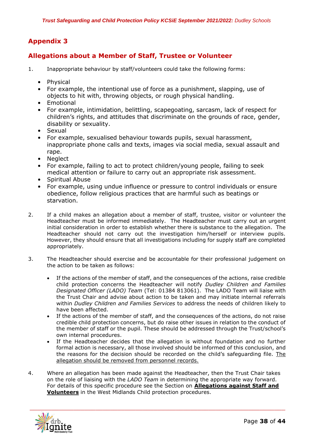#### <span id="page-37-1"></span><span id="page-37-0"></span>**Allegations about a Member of Staff, Trustee or Volunteer**

- 1. Inappropriate behaviour by staff/volunteers could take the following forms:
	- Physical
	- For example, the intentional use of force as a punishment, slapping, use of objects to hit with, throwing objects, or rough physical handling.
	- Emotional
	- For example, intimidation, belittling, scapegoating, sarcasm, lack of respect for children's rights, and attitudes that discriminate on the grounds of race, gender, disability or sexuality.
	- Sexual
	- For example, sexualised behaviour towards pupils, sexual harassment, inappropriate phone calls and texts, images via social media, sexual assault and rape.
	- Neglect
	- For example, failing to act to protect children/young people, failing to seek medical attention or failure to carry out an appropriate risk assessment.
	- Spiritual Abuse
	- For example, using undue influence or pressure to control individuals or ensure obedience, follow religious practices that are harmful such as beatings or starvation.
- 2. If a child makes an allegation about a member of staff, trustee, visitor or volunteer the Headteacher must be informed immediately. The Headteacher must carry out an urgent initial consideration in order to establish whether there is substance to the allegation. The Headteacher should not carry out the investigation him/herself or interview pupils. However, they should ensure that all investigations including for supply staff are completed appropriately.
- 3. The Headteacher should exercise and be accountable for their professional judgement on the action to be taken as follows:
	- If the actions of the member of staff, and the consequences of the actions, raise credible child protection concerns the Headteacher will notify *Dudley Children and Families Designated Officer (LADO) Team* (Tel: 01384 813061). The LADO Team will liaise with the Trust Chair and advise about action to be taken and may initiate internal referrals within *Dudley Children and Families Services* to address the needs of children likely to have been affected.
	- If the actions of the member of staff, and the consequences of the actions, do not raise credible child protection concerns, but do raise other issues in relation to the conduct of the member of staff or the pupil. These should be addressed through the Trust/school's own internal procedures.
	- If the Headteacher decides that the allegation is without foundation and no further formal action is necessary, all those involved should be informed of this conclusion, and the reasons for the decision should be recorded on the child's safeguarding file. The allegation should be removed from personnel records.
- 4. Where an allegation has been made against the Headteacher, then the Trust Chair takes on the role of liaising with the *LADO Team* in determining the appropriate way forward. For details of this specific procedure see the Section on **[Allegations against Staff and](http://westmidlands.procedures.org.uk/ykpzy/statutory-child-protection-procedures/allegations-against-staff-or-volunteers)  [Volunteers](http://westmidlands.procedures.org.uk/ykpzy/statutory-child-protection-procedures/allegations-against-staff-or-volunteers)** in the West Midlands Child protection procedures.

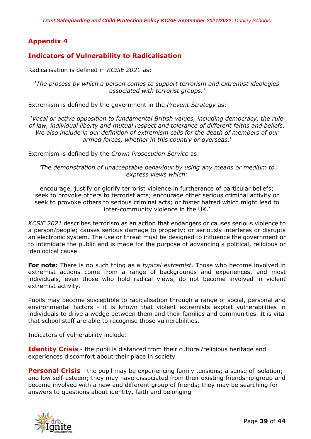#### <span id="page-38-1"></span><span id="page-38-0"></span>**Indicators of Vulnerability to Radicalisation**

Radicalisation is defined in *KCSiE 202*1 as:

*'The process by which a person comes to support terrorism and extremist ideologies associated with terrorist groups.'*

Extremism is defined by the government in the *Prevent Strategy* as:

*'Vocal or active opposition to fundamental British values, including democracy, the rule of law, individual liberty and mutual respect and tolerance of different faiths and beliefs. We also include in our definition of extremism calls for the death of members of our armed forces, whether in this country or overseas*.'

Extremism is defined by the *Crown Prosecution Service* as:

*'The demonstration of unacceptable behaviour by using any means or medium to express views which:*

encourage, justify or glorify terrorist violence in furtherance of particular beliefs; seek to provoke others to terrorist acts; encourage other serious criminal activity or seek to provoke others to serious criminal acts; or foster hatred which might lead to inter-community violence in the UK.'

*KCSiE 2021* describes terrorism as an action that endangers or causes serious violence to a person/people; causes serious damage to property; or seriously interferes or disrupts an electronic system. The use or threat must be designed to influence the government or to intimidate the public and is made for the purpose of advancing a political, religious or ideological cause.

**For note:** There is no such thing as a *typical extremist*. Those who become involved in extremist actions come from a range of backgrounds and experiences, and most individuals, even those who hold radical views, do not become involved in violent extremist activity.

Pupils may become susceptible to radicalisation through a range of social, personal and environmental factors - it is known that violent extremists exploit vulnerabilities in individuals to drive a wedge between them and their families and communities. It is vital that school staff are able to recognise those vulnerabilities.

Indicators of vulnerability include:

<span id="page-38-2"></span>**Identity Crisis** - the pupil is distanced from their cultural/religious heritage and experiences discomfort about their place in society

<span id="page-38-3"></span>**Personal Crisis** - the pupil may be experiencing family tensions; a sense of isolation; and low self-esteem; they may have dissociated from their existing friendship group and become involved with a new and different group of friends; they may be searching for answers to questions about identity, faith and belonging

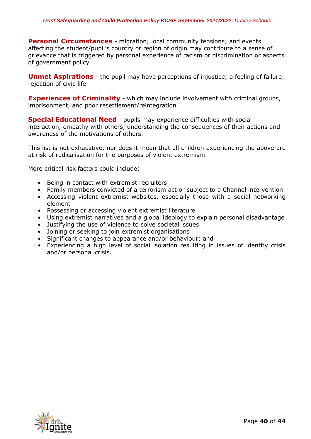<span id="page-39-0"></span>**Personal Circumstances** - migration; local community tensions; and events affecting the student/pupil's country or region of origin may contribute to a sense of grievance that is triggered by personal experience of racism or discrimination or aspects of government policy

<span id="page-39-1"></span>**Unmet Aspirations** - the pupil may have perceptions of injustice; a feeling of failure; rejection of civic life

<span id="page-39-2"></span>**Experiences of Criminality** - which may include involvement with criminal groups, imprisonment, and poor resettlement/reintegration

<span id="page-39-3"></span>**Special Educational Need** - pupils may experience difficulties with social interaction, empathy with others, understanding the consequences of their actions and awareness of the motivations of others.

This list is not exhaustive, nor does it mean that all children experiencing the above are at risk of radicalisation for the purposes of violent extremism.

More critical risk factors could include:

- Being in contact with extremist recruiters
- Family members convicted of a terrorism act or subject to a Channel intervention
- Accessing violent extremist websites, especially those with a social networking element
- Possessing or accessing violent extremist literature
- Using extremist narratives and a global ideology to explain personal disadvantage
- Justifying the use of violence to solve societal issues
- Joining or seeking to join extremist organisations
- Significant changes to appearance and/or behaviour; and
- Experiencing a high level of social isolation resulting in issues of identity crisis and/or personal crisis.

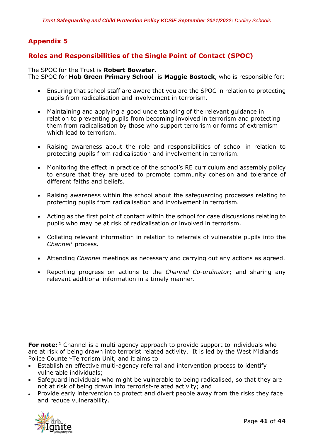#### <span id="page-40-1"></span><span id="page-40-0"></span>**Roles and Responsibilities of the Single Point of Contact (SPOC)**

The SPOC for the Trust is **Robert Bowater**. The SPOC for **Hob Green Primary School** is **Maggie Bostock**, who is responsible for:

- Ensuring that school staff are aware that you are the SPOC in relation to protecting pupils from radicalisation and involvement in terrorism.
- Maintaining and applying a good understanding of the relevant guidance in relation to preventing pupils from becoming involved in terrorism and protecting them from radicalisation by those who support terrorism or forms of extremism which lead to terrorism.
- Raising awareness about the role and responsibilities of school in relation to protecting pupils from radicalisation and involvement in terrorism.
- Monitoring the effect in practice of the school's RE curriculum and assembly policy to ensure that they are used to promote community cohesion and tolerance of different faiths and beliefs.
- Raising awareness within the school about the safeguarding processes relating to protecting pupils from radicalisation and involvement in terrorism.
- Acting as the first point of contact within the school for case discussions relating to pupils who may be at risk of radicalisation or involved in terrorism.
- Collating relevant information in relation to referrals of vulnerable pupils into the *Channel<sup>1</sup>* process.
- Attending *Channel* meetings as necessary and carrying out any actions as agreed.
- Reporting progress on actions to the *Channel Co-ordinator*; and sharing any relevant additional information in a timely manner.

- Establish an effective multi-agency referral and intervention process to identify vulnerable individuals;
- Safeguard individuals who might be vulnerable to being radicalised, so that they are not at risk of being drawn into terrorist-related activity; and
- Provide early intervention to protect and divert people away from the risks they face and reduce vulnerability.



**For note:** <sup>1</sup> Channel is a multi-agency approach to provide support to individuals who are at risk of being drawn into terrorist related activity. It is led by the West Midlands Police Counter-Terrorism Unit, and it aims to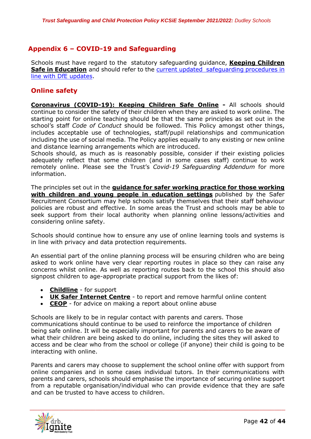#### <span id="page-41-0"></span>**Appendix 6 – COVID-19 and Safeguarding**

Schools must have regard to the statutory safeguarding guidance, **[Keeping Children](https://www.gov.uk/government/publications/keeping-children-safe-in-education--2)  [Safe in Education](https://www.gov.uk/government/publications/keeping-children-safe-in-education--2)** and should refer to the current updated safeguarding procedures in [line with DfE updates.](https://www.gov.uk/government/publications/actions-for-schools-during-the-coronavirus-outbreak)

#### <span id="page-41-1"></span>**Online safety**

**[Coronavirus \(COVID-19\): Keeping Children Safe Online](https://www.gov.uk/government/publications/coronavirus-covid-19-keeping-children-safe-online) -** All schools should continue to consider the safety of their children when they are asked to work online. The starting point for online teaching should be that the same principles as set out in the school's staff *Code of Conduct* should be followed. This Policy amongst other things, includes acceptable use of technologies, staff/pupil relationships and communication including the use of social media. The Policy applies equally to any existing or new online and distance learning arrangements which are introduced.

Schools should, as much as is reasonably possible, consider if their existing policies adequately reflect that some children (and in some cases staff) continue to work remotely online. Please see the Trust's *Covid-19 Safeguarding Addendum* for more information.

The principles set out in the **[guidance for safer working practice for those working](https://www.saferrecruitmentconsortium.org/)  [with children and young people in education settings](https://www.saferrecruitmentconsortium.org/)** published by the Safer Recruitment Consortium may help schools satisfy themselves that their staff behaviour policies are robust and effective. In some areas the Trust and schools may be able to seek support from their local authority when planning online lessons/activities and considering online safety.

Schools should continue how to ensure any use of online learning tools and systems is in line with privacy and data protection requirements.

An essential part of the online planning process will be ensuring children who are being asked to work online have very clear reporting routes in place so they can raise any concerns whilst online. As well as reporting routes back to the school this should also signpost children to age-appropriate practical support from the likes of:

- **[Childline](https://www.childline.org.uk/?utm_source=google&utm_medium=cpc&utm_campaign=UK_GO_S_B_BND_Grant_Childline_Information&utm_term=role_of_childline&gclsrc=aw.ds&&gclid=EAIaIQobChMIlfLRh-ez6AIVRrDtCh1N9QR2EAAYASAAEgLc-vD_BwE&gclsrc=aw.ds)** for support
- **[UK Safer Internet Centre](https://reportharmfulcontent.com/)** to report and remove harmful online content
- **[CEOP](https://www.ceop.police.uk/safety-centre/)** for advice on making a report about online abuse

Schools are likely to be in regular contact with parents and carers. Those communications should continue to be used to reinforce the importance of children being safe online. It will be especially important for parents and carers to be aware of what their children are being asked to do online, including the sites they will asked to access and be clear who from the school or college (if anyone) their child is going to be interacting with online.

Parents and carers may choose to supplement the school online offer with support from online companies and in some cases individual tutors. In their communications with parents and carers, schools should emphasise the importance of securing online support from a reputable organisation/individual who can provide evidence that they are safe and can be trusted to have access to children.

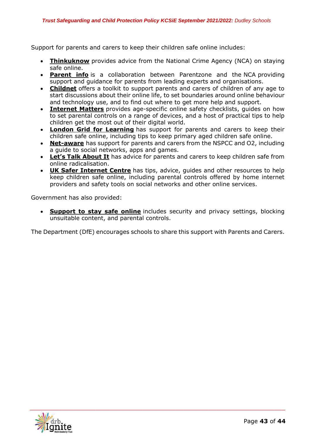Support for parents and carers to keep their children safe online includes:

- **[Thinkuknow](http://www.thinkuknow.co.uk/)** provides advice from the National Crime Agency (NCA) on staying safe online.
- **[Parent info](https://parentinfo.org/)** is a collaboration between Parentzone and the NCA providing support and guidance for parents from leading experts and organisations.
- **[Childnet](https://www.childnet.com/parents-and-carers/parent-and-carer-toolkit)** offers a toolkit to support parents and carers of children of any age to start discussions about their online life, to set boundaries around online behaviour and technology use, and to find out where to get more help and support.
- **[Internet Matters](https://www.internetmatters.org/?gclid=EAIaIQobChMIktuA5LWK2wIVRYXVCh2afg2aEAAYASAAEgIJ5vD_BwE)** provides age-specific online safety checklists, guides on how to set parental controls on a range of devices, and a host of practical tips to help children get the most out of their digital world.
- **[London Grid for Learning](http://www.lgfl.net/online-safety/)** has support for parents and carers to keep their children safe online, including tips to keep primary aged children safe online.
- **[Net-aware](https://www.net-aware.org.uk/)** has support for parents and carers from the NSPCC and O2, including a guide to social networks, apps and games.
- **[Let's Talk About It](https://www.ltai.info/staying-safe-online/)** has advice for parents and carers to keep children safe from online radicalisation.
- **[UK Safer Internet Centre](https://www.saferinternet.org.uk/advice-centre/parents-and-carers)** has tips, advice, guides and other resources to help keep children safe online, including parental controls offered by home internet providers and safety tools on social networks and other online services.

Government has also provided:

**[Support to stay safe online](https://www.gov.uk/guidance/covid-19-staying-safe-online)** includes security and privacy settings, blocking unsuitable content, and parental controls.

The Department (DfE) encourages schools to share this support with Parents and Carers.